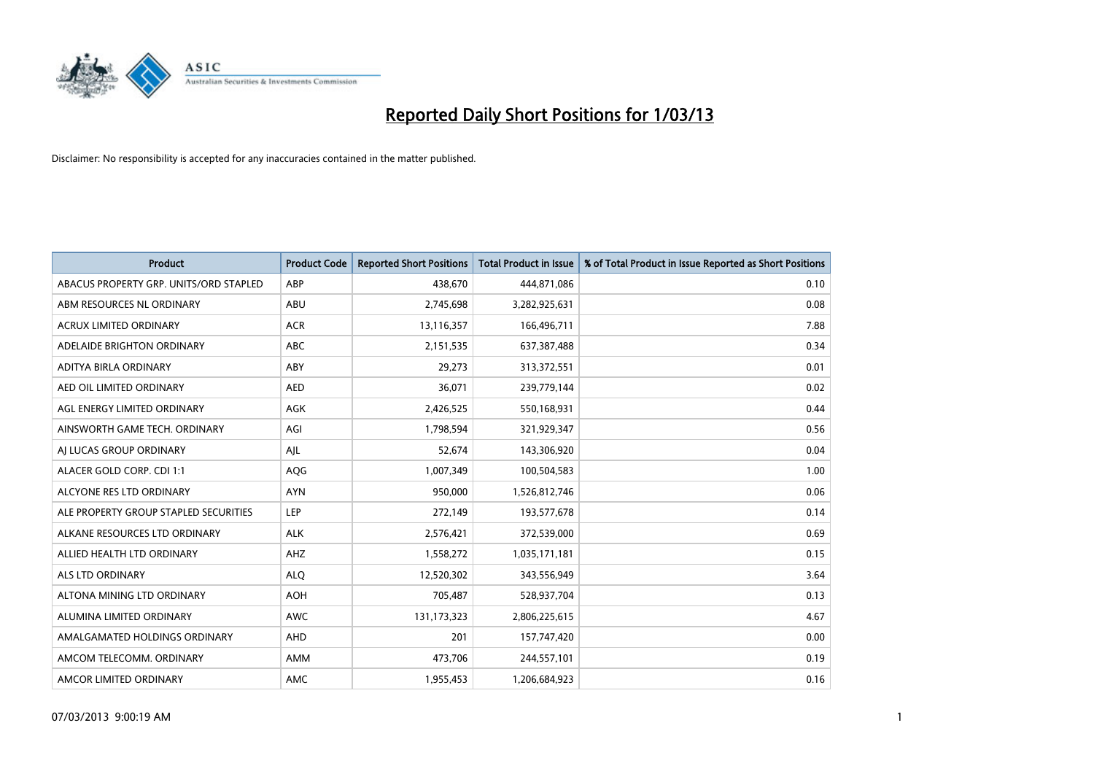

| <b>Product</b>                         | <b>Product Code</b> | <b>Reported Short Positions</b> | <b>Total Product in Issue</b> | % of Total Product in Issue Reported as Short Positions |
|----------------------------------------|---------------------|---------------------------------|-------------------------------|---------------------------------------------------------|
| ABACUS PROPERTY GRP. UNITS/ORD STAPLED | ABP                 | 438,670                         | 444,871,086                   | 0.10                                                    |
| ABM RESOURCES NL ORDINARY              | ABU                 | 2,745,698                       | 3,282,925,631                 | 0.08                                                    |
| <b>ACRUX LIMITED ORDINARY</b>          | <b>ACR</b>          | 13,116,357                      | 166,496,711                   | 7.88                                                    |
| ADELAIDE BRIGHTON ORDINARY             | <b>ABC</b>          | 2,151,535                       | 637,387,488                   | 0.34                                                    |
| ADITYA BIRLA ORDINARY                  | ABY                 | 29,273                          | 313,372,551                   | 0.01                                                    |
| AED OIL LIMITED ORDINARY               | <b>AED</b>          | 36,071                          | 239,779,144                   | 0.02                                                    |
| AGL ENERGY LIMITED ORDINARY            | AGK                 | 2,426,525                       | 550,168,931                   | 0.44                                                    |
| AINSWORTH GAME TECH. ORDINARY          | AGI                 | 1,798,594                       | 321,929,347                   | 0.56                                                    |
| AI LUCAS GROUP ORDINARY                | AIL                 | 52,674                          | 143,306,920                   | 0.04                                                    |
| ALACER GOLD CORP. CDI 1:1              | <b>AQG</b>          | 1,007,349                       | 100,504,583                   | 1.00                                                    |
| ALCYONE RES LTD ORDINARY               | <b>AYN</b>          | 950,000                         | 1,526,812,746                 | 0.06                                                    |
| ALE PROPERTY GROUP STAPLED SECURITIES  | LEP                 | 272,149                         | 193,577,678                   | 0.14                                                    |
| ALKANE RESOURCES LTD ORDINARY          | <b>ALK</b>          | 2,576,421                       | 372,539,000                   | 0.69                                                    |
| ALLIED HEALTH LTD ORDINARY             | AHZ                 | 1,558,272                       | 1,035,171,181                 | 0.15                                                    |
| <b>ALS LTD ORDINARY</b>                | <b>ALQ</b>          | 12,520,302                      | 343,556,949                   | 3.64                                                    |
| ALTONA MINING LTD ORDINARY             | <b>AOH</b>          | 705,487                         | 528,937,704                   | 0.13                                                    |
| ALUMINA LIMITED ORDINARY               | <b>AWC</b>          | 131,173,323                     | 2,806,225,615                 | 4.67                                                    |
| AMALGAMATED HOLDINGS ORDINARY          | <b>AHD</b>          | 201                             | 157,747,420                   | 0.00                                                    |
| AMCOM TELECOMM. ORDINARY               | AMM                 | 473,706                         | 244,557,101                   | 0.19                                                    |
| AMCOR LIMITED ORDINARY                 | AMC                 | 1,955,453                       | 1,206,684,923                 | 0.16                                                    |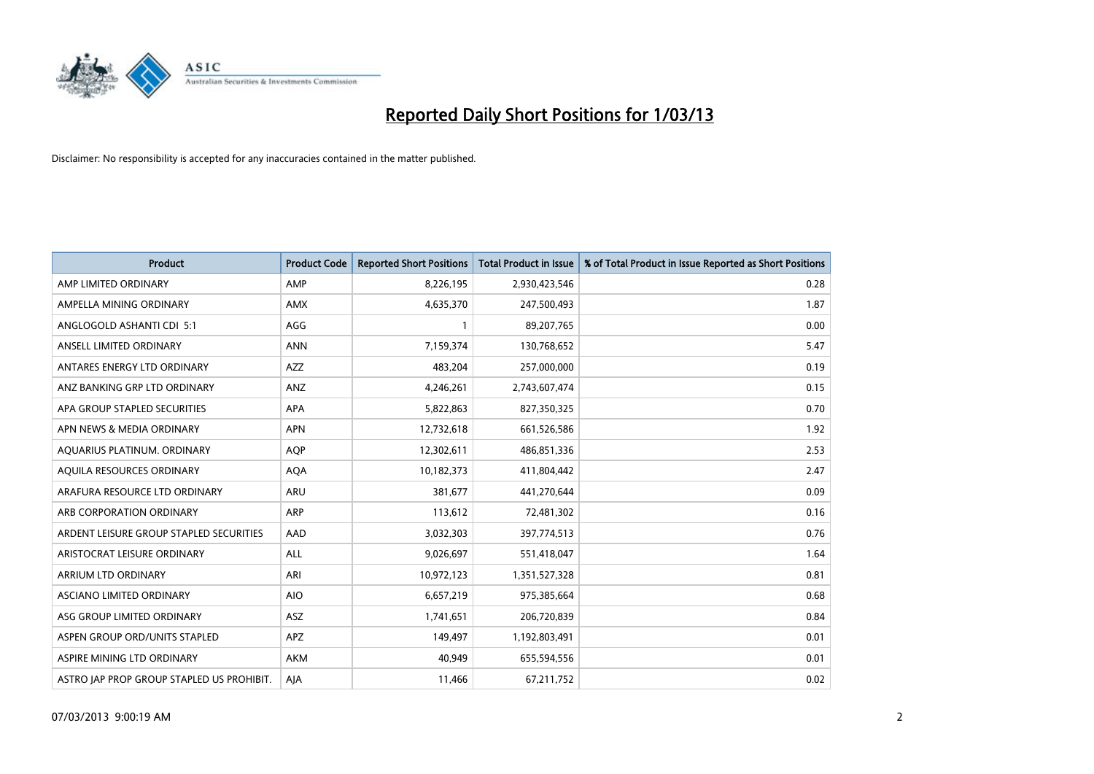

| <b>Product</b>                            | <b>Product Code</b> | <b>Reported Short Positions</b> | <b>Total Product in Issue</b> | % of Total Product in Issue Reported as Short Positions |
|-------------------------------------------|---------------------|---------------------------------|-------------------------------|---------------------------------------------------------|
| AMP LIMITED ORDINARY                      | AMP                 | 8,226,195                       | 2,930,423,546                 | 0.28                                                    |
| AMPELLA MINING ORDINARY                   | <b>AMX</b>          | 4,635,370                       | 247,500,493                   | 1.87                                                    |
| ANGLOGOLD ASHANTI CDI 5:1                 | AGG                 |                                 | 89,207,765                    | 0.00                                                    |
| ANSELL LIMITED ORDINARY                   | <b>ANN</b>          | 7,159,374                       | 130,768,652                   | 5.47                                                    |
| ANTARES ENERGY LTD ORDINARY               | <b>AZZ</b>          | 483,204                         | 257,000,000                   | 0.19                                                    |
| ANZ BANKING GRP LTD ORDINARY              | <b>ANZ</b>          | 4,246,261                       | 2,743,607,474                 | 0.15                                                    |
| APA GROUP STAPLED SECURITIES              | <b>APA</b>          | 5,822,863                       | 827,350,325                   | 0.70                                                    |
| APN NEWS & MEDIA ORDINARY                 | <b>APN</b>          | 12,732,618                      | 661,526,586                   | 1.92                                                    |
| AQUARIUS PLATINUM. ORDINARY               | <b>AOP</b>          | 12,302,611                      | 486,851,336                   | 2.53                                                    |
| AQUILA RESOURCES ORDINARY                 | AQA                 | 10,182,373                      | 411,804,442                   | 2.47                                                    |
| ARAFURA RESOURCE LTD ORDINARY             | <b>ARU</b>          | 381,677                         | 441,270,644                   | 0.09                                                    |
| ARB CORPORATION ORDINARY                  | ARP                 | 113,612                         | 72,481,302                    | 0.16                                                    |
| ARDENT LEISURE GROUP STAPLED SECURITIES   | AAD                 | 3,032,303                       | 397,774,513                   | 0.76                                                    |
| ARISTOCRAT LEISURE ORDINARY               | ALL                 | 9,026,697                       | 551,418,047                   | 1.64                                                    |
| ARRIUM LTD ORDINARY                       | ARI                 | 10,972,123                      | 1,351,527,328                 | 0.81                                                    |
| ASCIANO LIMITED ORDINARY                  | <b>AIO</b>          | 6,657,219                       | 975,385,664                   | 0.68                                                    |
| ASG GROUP LIMITED ORDINARY                | <b>ASZ</b>          | 1,741,651                       | 206,720,839                   | 0.84                                                    |
| ASPEN GROUP ORD/UNITS STAPLED             | APZ                 | 149,497                         | 1,192,803,491                 | 0.01                                                    |
| ASPIRE MINING LTD ORDINARY                | <b>AKM</b>          | 40.949                          | 655,594,556                   | 0.01                                                    |
| ASTRO JAP PROP GROUP STAPLED US PROHIBIT. | AJA                 | 11,466                          | 67,211,752                    | 0.02                                                    |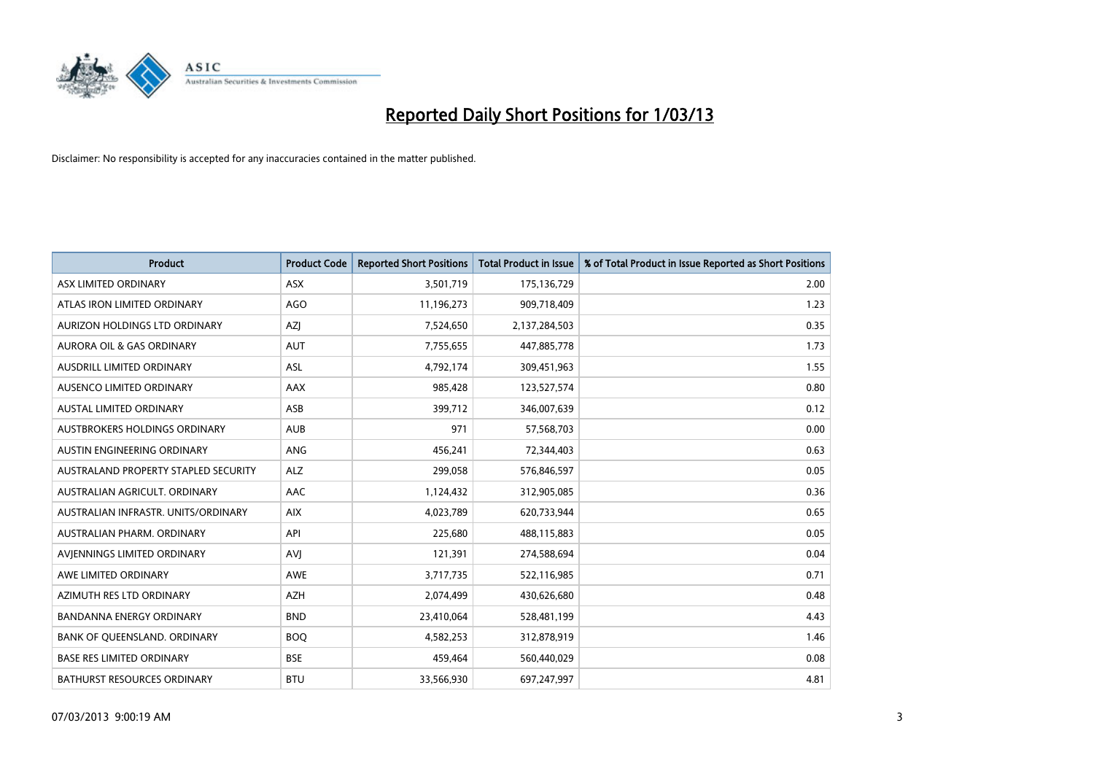

| <b>Product</b>                       | <b>Product Code</b> | <b>Reported Short Positions</b> | <b>Total Product in Issue</b> | % of Total Product in Issue Reported as Short Positions |
|--------------------------------------|---------------------|---------------------------------|-------------------------------|---------------------------------------------------------|
| ASX LIMITED ORDINARY                 | <b>ASX</b>          | 3,501,719                       | 175,136,729                   | 2.00                                                    |
| ATLAS IRON LIMITED ORDINARY          | <b>AGO</b>          | 11,196,273                      | 909,718,409                   | 1.23                                                    |
| AURIZON HOLDINGS LTD ORDINARY        | AZJ                 | 7,524,650                       | 2,137,284,503                 | 0.35                                                    |
| AURORA OIL & GAS ORDINARY            | <b>AUT</b>          | 7,755,655                       | 447,885,778                   | 1.73                                                    |
| <b>AUSDRILL LIMITED ORDINARY</b>     | <b>ASL</b>          | 4,792,174                       | 309,451,963                   | 1.55                                                    |
| <b>AUSENCO LIMITED ORDINARY</b>      | AAX                 | 985,428                         | 123,527,574                   | 0.80                                                    |
| <b>AUSTAL LIMITED ORDINARY</b>       | ASB                 | 399,712                         | 346,007,639                   | 0.12                                                    |
| AUSTBROKERS HOLDINGS ORDINARY        | <b>AUB</b>          | 971                             | 57,568,703                    | 0.00                                                    |
| AUSTIN ENGINEERING ORDINARY          | ANG                 | 456,241                         | 72,344,403                    | 0.63                                                    |
| AUSTRALAND PROPERTY STAPLED SECURITY | <b>ALZ</b>          | 299,058                         | 576,846,597                   | 0.05                                                    |
| AUSTRALIAN AGRICULT. ORDINARY        | AAC                 | 1,124,432                       | 312,905,085                   | 0.36                                                    |
| AUSTRALIAN INFRASTR, UNITS/ORDINARY  | <b>AIX</b>          | 4,023,789                       | 620,733,944                   | 0.65                                                    |
| AUSTRALIAN PHARM. ORDINARY           | API                 | 225,680                         | 488,115,883                   | 0.05                                                    |
| AVIENNINGS LIMITED ORDINARY          | AVI                 | 121,391                         | 274,588,694                   | 0.04                                                    |
| AWE LIMITED ORDINARY                 | <b>AWE</b>          | 3,717,735                       | 522,116,985                   | 0.71                                                    |
| AZIMUTH RES LTD ORDINARY             | <b>AZH</b>          | 2,074,499                       | 430,626,680                   | 0.48                                                    |
| <b>BANDANNA ENERGY ORDINARY</b>      | <b>BND</b>          | 23,410,064                      | 528,481,199                   | 4.43                                                    |
| BANK OF QUEENSLAND. ORDINARY         | <b>BOQ</b>          | 4,582,253                       | 312,878,919                   | 1.46                                                    |
| <b>BASE RES LIMITED ORDINARY</b>     | <b>BSE</b>          | 459,464                         | 560,440,029                   | 0.08                                                    |
| <b>BATHURST RESOURCES ORDINARY</b>   | <b>BTU</b>          | 33,566,930                      | 697,247,997                   | 4.81                                                    |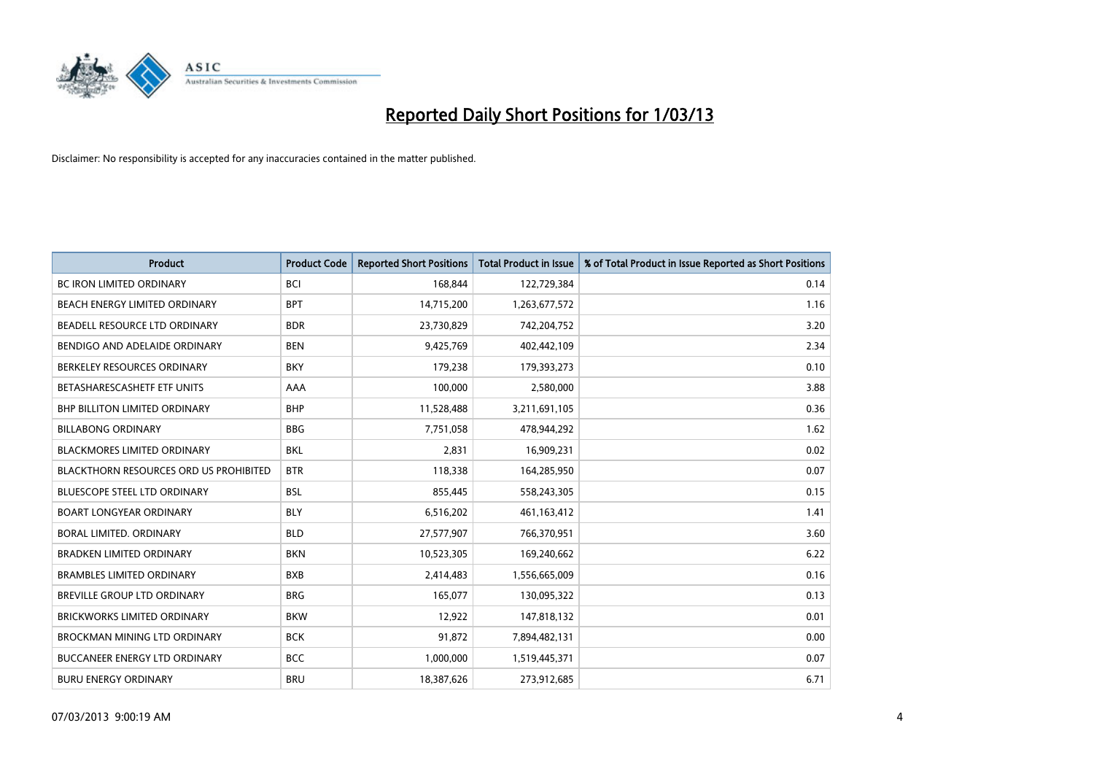

| <b>Product</b>                                | <b>Product Code</b> | <b>Reported Short Positions</b> | <b>Total Product in Issue</b> | % of Total Product in Issue Reported as Short Positions |
|-----------------------------------------------|---------------------|---------------------------------|-------------------------------|---------------------------------------------------------|
| <b>BC IRON LIMITED ORDINARY</b>               | <b>BCI</b>          | 168,844                         | 122,729,384                   | 0.14                                                    |
| BEACH ENERGY LIMITED ORDINARY                 | <b>BPT</b>          | 14,715,200                      | 1,263,677,572                 | 1.16                                                    |
| BEADELL RESOURCE LTD ORDINARY                 | <b>BDR</b>          | 23,730,829                      | 742,204,752                   | 3.20                                                    |
| BENDIGO AND ADELAIDE ORDINARY                 | <b>BEN</b>          | 9,425,769                       | 402,442,109                   | 2.34                                                    |
| BERKELEY RESOURCES ORDINARY                   | <b>BKY</b>          | 179,238                         | 179,393,273                   | 0.10                                                    |
| BETASHARESCASHETF ETF UNITS                   | AAA                 | 100,000                         | 2,580,000                     | 3.88                                                    |
| <b>BHP BILLITON LIMITED ORDINARY</b>          | <b>BHP</b>          | 11,528,488                      | 3,211,691,105                 | 0.36                                                    |
| <b>BILLABONG ORDINARY</b>                     | <b>BBG</b>          | 7,751,058                       | 478,944,292                   | 1.62                                                    |
| <b>BLACKMORES LIMITED ORDINARY</b>            | <b>BKL</b>          | 2,831                           | 16,909,231                    | 0.02                                                    |
| <b>BLACKTHORN RESOURCES ORD US PROHIBITED</b> | <b>BTR</b>          | 118,338                         | 164,285,950                   | 0.07                                                    |
| <b>BLUESCOPE STEEL LTD ORDINARY</b>           | <b>BSL</b>          | 855,445                         | 558,243,305                   | 0.15                                                    |
| <b>BOART LONGYEAR ORDINARY</b>                | <b>BLY</b>          | 6,516,202                       | 461,163,412                   | 1.41                                                    |
| BORAL LIMITED, ORDINARY                       | <b>BLD</b>          | 27,577,907                      | 766,370,951                   | 3.60                                                    |
| <b>BRADKEN LIMITED ORDINARY</b>               | <b>BKN</b>          | 10,523,305                      | 169,240,662                   | 6.22                                                    |
| <b>BRAMBLES LIMITED ORDINARY</b>              | <b>BXB</b>          | 2,414,483                       | 1,556,665,009                 | 0.16                                                    |
| BREVILLE GROUP LTD ORDINARY                   | <b>BRG</b>          | 165,077                         | 130,095,322                   | 0.13                                                    |
| <b>BRICKWORKS LIMITED ORDINARY</b>            | <b>BKW</b>          | 12,922                          | 147,818,132                   | 0.01                                                    |
| <b>BROCKMAN MINING LTD ORDINARY</b>           | <b>BCK</b>          | 91,872                          | 7,894,482,131                 | 0.00                                                    |
| <b>BUCCANEER ENERGY LTD ORDINARY</b>          | <b>BCC</b>          | 1,000,000                       | 1,519,445,371                 | 0.07                                                    |
| <b>BURU ENERGY ORDINARY</b>                   | <b>BRU</b>          | 18,387,626                      | 273,912,685                   | 6.71                                                    |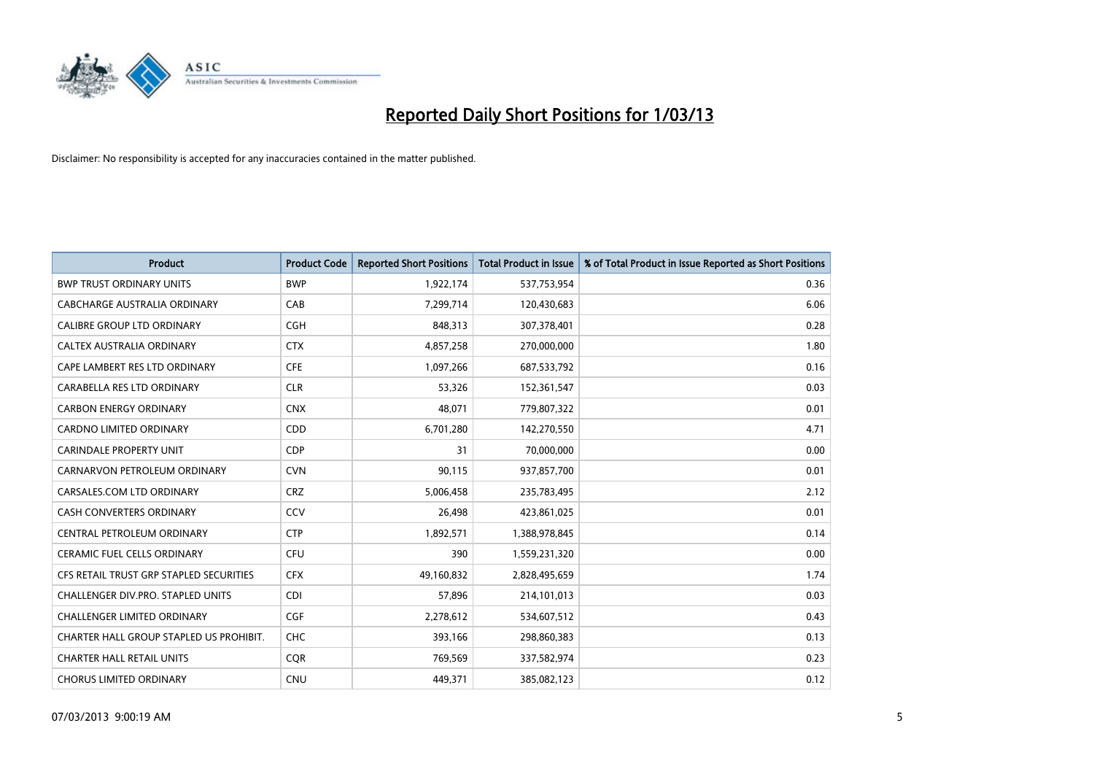

| <b>Product</b>                          | <b>Product Code</b> | <b>Reported Short Positions</b> | <b>Total Product in Issue</b> | % of Total Product in Issue Reported as Short Positions |
|-----------------------------------------|---------------------|---------------------------------|-------------------------------|---------------------------------------------------------|
| <b>BWP TRUST ORDINARY UNITS</b>         | <b>BWP</b>          | 1,922,174                       | 537,753,954                   | 0.36                                                    |
| CABCHARGE AUSTRALIA ORDINARY            | CAB                 | 7,299,714                       | 120,430,683                   | 6.06                                                    |
| <b>CALIBRE GROUP LTD ORDINARY</b>       | <b>CGH</b>          | 848,313                         | 307,378,401                   | 0.28                                                    |
| CALTEX AUSTRALIA ORDINARY               | <b>CTX</b>          | 4,857,258                       | 270,000,000                   | 1.80                                                    |
| CAPE LAMBERT RES LTD ORDINARY           | <b>CFE</b>          | 1,097,266                       | 687,533,792                   | 0.16                                                    |
| CARABELLA RES LTD ORDINARY              | <b>CLR</b>          | 53,326                          | 152,361,547                   | 0.03                                                    |
| <b>CARBON ENERGY ORDINARY</b>           | <b>CNX</b>          | 48.071                          | 779,807,322                   | 0.01                                                    |
| CARDNO LIMITED ORDINARY                 | CDD                 | 6,701,280                       | 142,270,550                   | 4.71                                                    |
| <b>CARINDALE PROPERTY UNIT</b>          | <b>CDP</b>          | 31                              | 70,000,000                    | 0.00                                                    |
| CARNARVON PETROLEUM ORDINARY            | <b>CVN</b>          | 90,115                          | 937,857,700                   | 0.01                                                    |
| CARSALES.COM LTD ORDINARY               | <b>CRZ</b>          | 5,006,458                       | 235,783,495                   | 2.12                                                    |
| <b>CASH CONVERTERS ORDINARY</b>         | CCV                 | 26,498                          | 423,861,025                   | 0.01                                                    |
| CENTRAL PETROLEUM ORDINARY              | <b>CTP</b>          | 1,892,571                       | 1,388,978,845                 | 0.14                                                    |
| <b>CERAMIC FUEL CELLS ORDINARY</b>      | CFU                 | 390                             | 1,559,231,320                 | 0.00                                                    |
| CFS RETAIL TRUST GRP STAPLED SECURITIES | <b>CFX</b>          | 49,160,832                      | 2,828,495,659                 | 1.74                                                    |
| CHALLENGER DIV.PRO. STAPLED UNITS       | <b>CDI</b>          | 57,896                          | 214,101,013                   | 0.03                                                    |
| <b>CHALLENGER LIMITED ORDINARY</b>      | <b>CGF</b>          | 2,278,612                       | 534,607,512                   | 0.43                                                    |
| CHARTER HALL GROUP STAPLED US PROHIBIT. | <b>CHC</b>          | 393,166                         | 298,860,383                   | 0.13                                                    |
| <b>CHARTER HALL RETAIL UNITS</b>        | <b>COR</b>          | 769,569                         | 337,582,974                   | 0.23                                                    |
| <b>CHORUS LIMITED ORDINARY</b>          | <b>CNU</b>          | 449.371                         | 385,082,123                   | 0.12                                                    |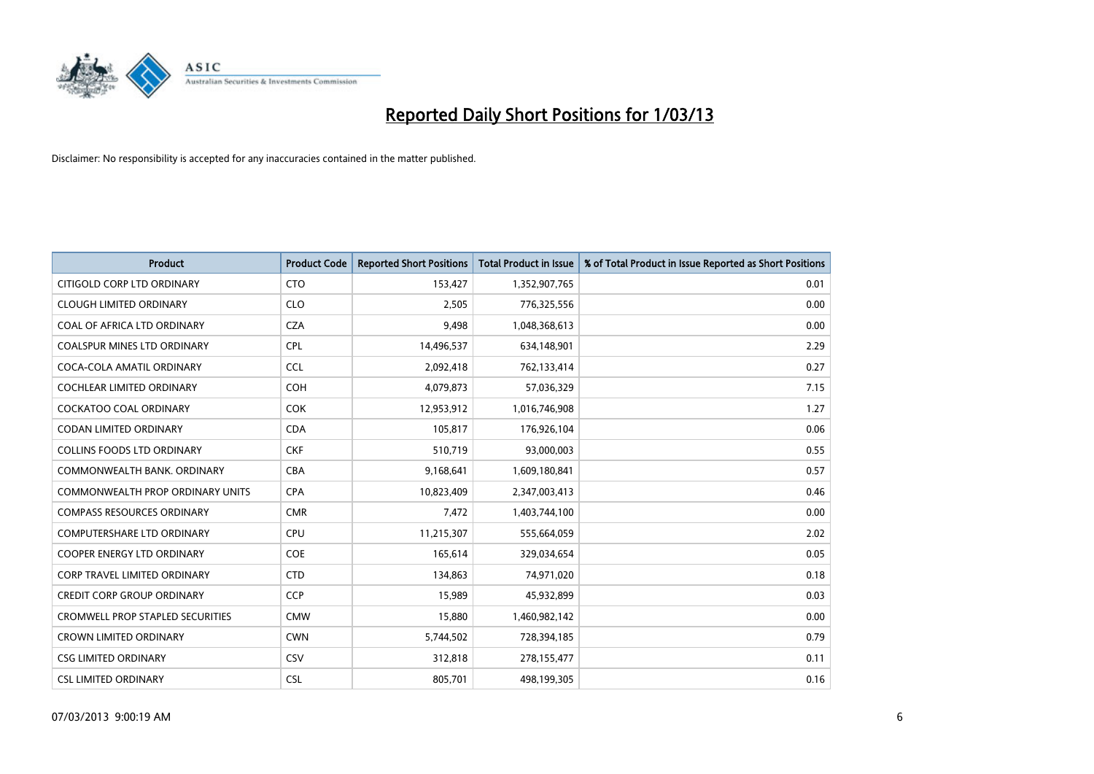

| <b>Product</b>                          | <b>Product Code</b> | <b>Reported Short Positions</b> | <b>Total Product in Issue</b> | % of Total Product in Issue Reported as Short Positions |
|-----------------------------------------|---------------------|---------------------------------|-------------------------------|---------------------------------------------------------|
| CITIGOLD CORP LTD ORDINARY              | <b>CTO</b>          | 153,427                         | 1,352,907,765                 | 0.01                                                    |
| <b>CLOUGH LIMITED ORDINARY</b>          | <b>CLO</b>          | 2,505                           | 776,325,556                   | 0.00                                                    |
| <b>COAL OF AFRICA LTD ORDINARY</b>      | <b>CZA</b>          | 9.498                           | 1,048,368,613                 | 0.00                                                    |
| COALSPUR MINES LTD ORDINARY             | <b>CPL</b>          | 14,496,537                      | 634,148,901                   | 2.29                                                    |
| COCA-COLA AMATIL ORDINARY               | <b>CCL</b>          | 2,092,418                       | 762,133,414                   | 0.27                                                    |
| <b>COCHLEAR LIMITED ORDINARY</b>        | COH                 | 4,079,873                       | 57,036,329                    | 7.15                                                    |
| <b>COCKATOO COAL ORDINARY</b>           | <b>COK</b>          | 12,953,912                      | 1,016,746,908                 | 1.27                                                    |
| CODAN LIMITED ORDINARY                  | <b>CDA</b>          | 105,817                         | 176,926,104                   | 0.06                                                    |
| <b>COLLINS FOODS LTD ORDINARY</b>       | <b>CKF</b>          | 510,719                         | 93,000,003                    | 0.55                                                    |
| COMMONWEALTH BANK, ORDINARY             | <b>CBA</b>          | 9,168,641                       | 1,609,180,841                 | 0.57                                                    |
| COMMONWEALTH PROP ORDINARY UNITS        | <b>CPA</b>          | 10,823,409                      | 2,347,003,413                 | 0.46                                                    |
| <b>COMPASS RESOURCES ORDINARY</b>       | <b>CMR</b>          | 7,472                           | 1,403,744,100                 | 0.00                                                    |
| COMPUTERSHARE LTD ORDINARY              | CPU                 | 11,215,307                      | 555,664,059                   | 2.02                                                    |
| <b>COOPER ENERGY LTD ORDINARY</b>       | <b>COE</b>          | 165,614                         | 329,034,654                   | 0.05                                                    |
| <b>CORP TRAVEL LIMITED ORDINARY</b>     | <b>CTD</b>          | 134,863                         | 74,971,020                    | 0.18                                                    |
| CREDIT CORP GROUP ORDINARY              | <b>CCP</b>          | 15,989                          | 45,932,899                    | 0.03                                                    |
| <b>CROMWELL PROP STAPLED SECURITIES</b> | <b>CMW</b>          | 15,880                          | 1,460,982,142                 | 0.00                                                    |
| <b>CROWN LIMITED ORDINARY</b>           | <b>CWN</b>          | 5,744,502                       | 728,394,185                   | 0.79                                                    |
| <b>CSG LIMITED ORDINARY</b>             | CSV                 | 312,818                         | 278,155,477                   | 0.11                                                    |
| <b>CSL LIMITED ORDINARY</b>             | <b>CSL</b>          | 805,701                         | 498,199,305                   | 0.16                                                    |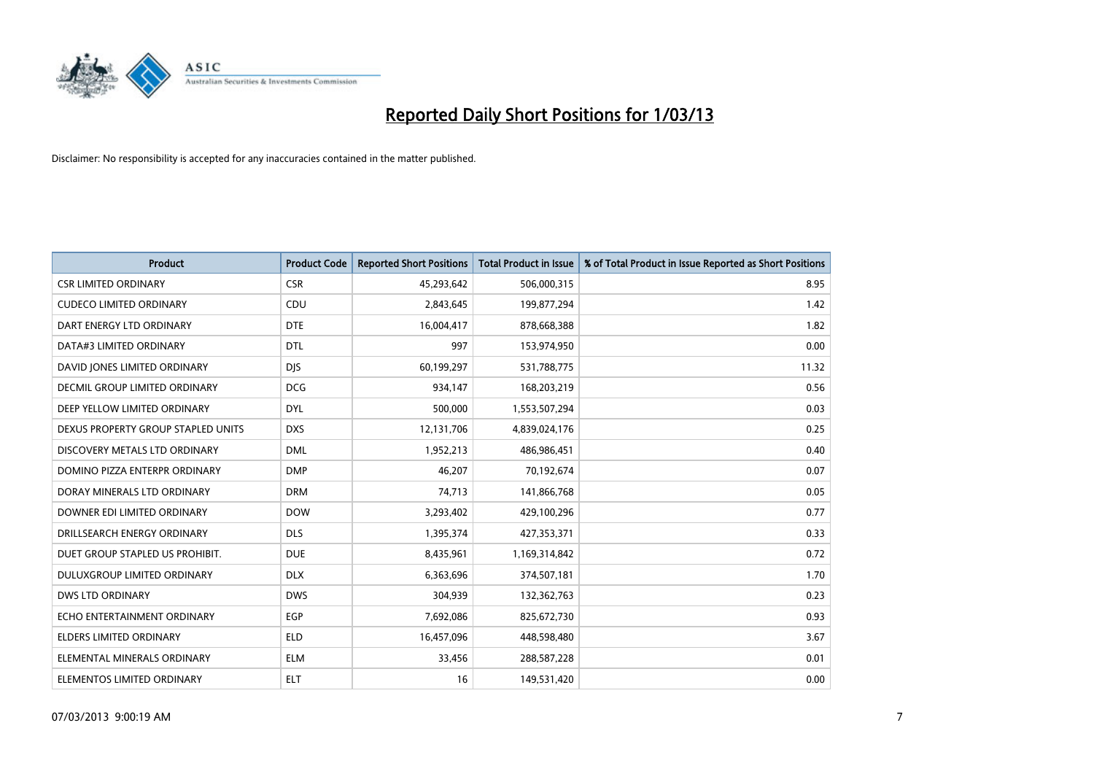

| <b>Product</b>                     | <b>Product Code</b> | <b>Reported Short Positions</b> | <b>Total Product in Issue</b> | % of Total Product in Issue Reported as Short Positions |
|------------------------------------|---------------------|---------------------------------|-------------------------------|---------------------------------------------------------|
| <b>CSR LIMITED ORDINARY</b>        | <b>CSR</b>          | 45,293,642                      | 506,000,315                   | 8.95                                                    |
| <b>CUDECO LIMITED ORDINARY</b>     | CDU                 | 2,843,645                       | 199,877,294                   | 1.42                                                    |
| DART ENERGY LTD ORDINARY           | <b>DTE</b>          | 16,004,417                      | 878,668,388                   | 1.82                                                    |
| DATA#3 LIMITED ORDINARY            | <b>DTL</b>          | 997                             | 153,974,950                   | 0.00                                                    |
| DAVID JONES LIMITED ORDINARY       | <b>DIS</b>          | 60,199,297                      | 531,788,775                   | 11.32                                                   |
| DECMIL GROUP LIMITED ORDINARY      | <b>DCG</b>          | 934,147                         | 168,203,219                   | 0.56                                                    |
| DEEP YELLOW LIMITED ORDINARY       | <b>DYL</b>          | 500,000                         | 1,553,507,294                 | 0.03                                                    |
| DEXUS PROPERTY GROUP STAPLED UNITS | <b>DXS</b>          | 12,131,706                      | 4,839,024,176                 | 0.25                                                    |
| DISCOVERY METALS LTD ORDINARY      | <b>DML</b>          | 1,952,213                       | 486,986,451                   | 0.40                                                    |
| DOMINO PIZZA ENTERPR ORDINARY      | <b>DMP</b>          | 46,207                          | 70,192,674                    | 0.07                                                    |
| DORAY MINERALS LTD ORDINARY        | <b>DRM</b>          | 74,713                          | 141,866,768                   | 0.05                                                    |
| DOWNER EDI LIMITED ORDINARY        | <b>DOW</b>          | 3,293,402                       | 429,100,296                   | 0.77                                                    |
| DRILLSEARCH ENERGY ORDINARY        | <b>DLS</b>          | 1,395,374                       | 427,353,371                   | 0.33                                                    |
| DUET GROUP STAPLED US PROHIBIT.    | <b>DUE</b>          | 8,435,961                       | 1,169,314,842                 | 0.72                                                    |
| DULUXGROUP LIMITED ORDINARY        | <b>DLX</b>          | 6,363,696                       | 374,507,181                   | 1.70                                                    |
| <b>DWS LTD ORDINARY</b>            | <b>DWS</b>          | 304,939                         | 132,362,763                   | 0.23                                                    |
| ECHO ENTERTAINMENT ORDINARY        | <b>EGP</b>          | 7,692,086                       | 825,672,730                   | 0.93                                                    |
| ELDERS LIMITED ORDINARY            | <b>ELD</b>          | 16,457,096                      | 448,598,480                   | 3.67                                                    |
| ELEMENTAL MINERALS ORDINARY        | <b>ELM</b>          | 33,456                          | 288,587,228                   | 0.01                                                    |
| ELEMENTOS LIMITED ORDINARY         | <b>ELT</b>          | 16                              | 149,531,420                   | 0.00                                                    |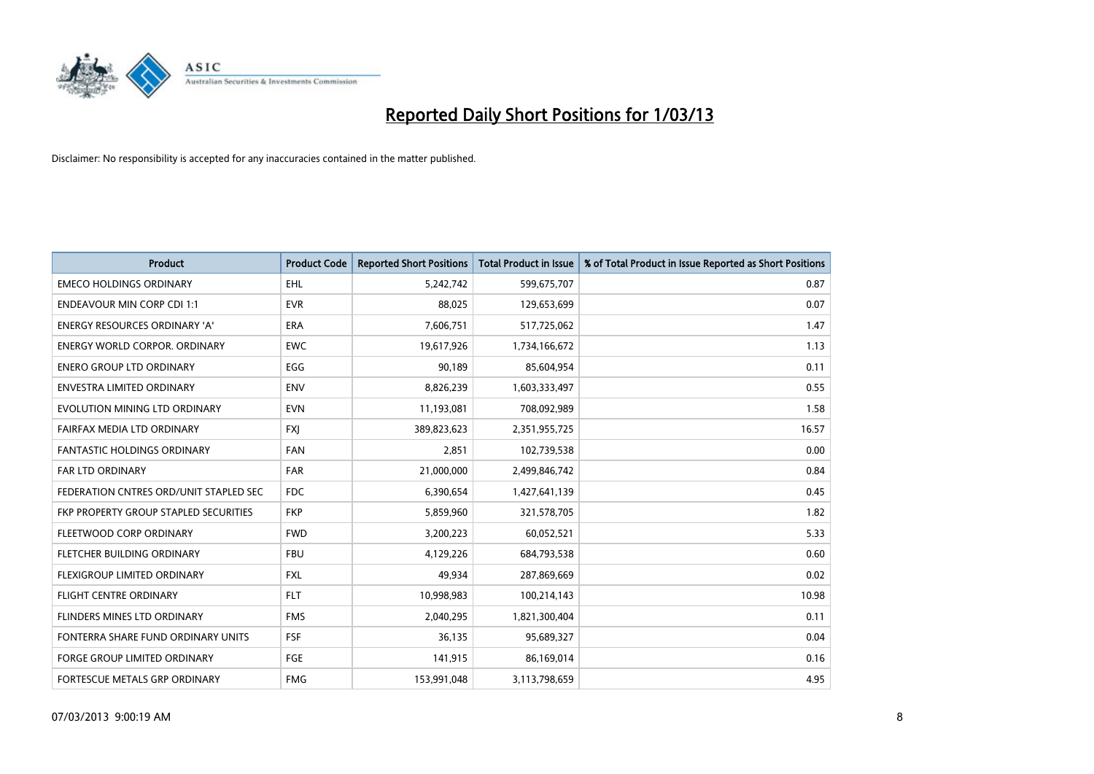

| <b>Product</b>                         | <b>Product Code</b> | <b>Reported Short Positions</b> | <b>Total Product in Issue</b> | % of Total Product in Issue Reported as Short Positions |
|----------------------------------------|---------------------|---------------------------------|-------------------------------|---------------------------------------------------------|
| <b>EMECO HOLDINGS ORDINARY</b>         | EHL                 | 5,242,742                       | 599,675,707                   | 0.87                                                    |
| <b>ENDEAVOUR MIN CORP CDI 1:1</b>      | <b>EVR</b>          | 88,025                          | 129,653,699                   | 0.07                                                    |
| <b>ENERGY RESOURCES ORDINARY 'A'</b>   | <b>ERA</b>          | 7,606,751                       | 517,725,062                   | 1.47                                                    |
| ENERGY WORLD CORPOR. ORDINARY          | <b>EWC</b>          | 19,617,926                      | 1,734,166,672                 | 1.13                                                    |
| <b>ENERO GROUP LTD ORDINARY</b>        | EGG                 | 90,189                          | 85,604,954                    | 0.11                                                    |
| ENVESTRA LIMITED ORDINARY              | <b>ENV</b>          | 8,826,239                       | 1,603,333,497                 | 0.55                                                    |
| EVOLUTION MINING LTD ORDINARY          | <b>EVN</b>          | 11,193,081                      | 708,092,989                   | 1.58                                                    |
| FAIRFAX MEDIA LTD ORDINARY             | <b>FXJ</b>          | 389,823,623                     | 2,351,955,725                 | 16.57                                                   |
| <b>FANTASTIC HOLDINGS ORDINARY</b>     | <b>FAN</b>          | 2,851                           | 102,739,538                   | 0.00                                                    |
| FAR LTD ORDINARY                       | <b>FAR</b>          | 21,000,000                      | 2,499,846,742                 | 0.84                                                    |
| FEDERATION CNTRES ORD/UNIT STAPLED SEC | <b>FDC</b>          | 6,390,654                       | 1,427,641,139                 | 0.45                                                    |
| FKP PROPERTY GROUP STAPLED SECURITIES  | <b>FKP</b>          | 5,859,960                       | 321,578,705                   | 1.82                                                    |
| FLEETWOOD CORP ORDINARY                | <b>FWD</b>          | 3,200,223                       | 60,052,521                    | 5.33                                                    |
| FLETCHER BUILDING ORDINARY             | <b>FBU</b>          | 4,129,226                       | 684,793,538                   | 0.60                                                    |
| FLEXIGROUP LIMITED ORDINARY            | <b>FXL</b>          | 49.934                          | 287,869,669                   | 0.02                                                    |
| FLIGHT CENTRE ORDINARY                 | <b>FLT</b>          | 10,998,983                      | 100,214,143                   | 10.98                                                   |
| FLINDERS MINES LTD ORDINARY            | <b>FMS</b>          | 2,040,295                       | 1,821,300,404                 | 0.11                                                    |
| FONTERRA SHARE FUND ORDINARY UNITS     | <b>FSF</b>          | 36,135                          | 95,689,327                    | 0.04                                                    |
| <b>FORGE GROUP LIMITED ORDINARY</b>    | FGE                 | 141,915                         | 86,169,014                    | 0.16                                                    |
| FORTESCUE METALS GRP ORDINARY          | <b>FMG</b>          | 153,991,048                     | 3,113,798,659                 | 4.95                                                    |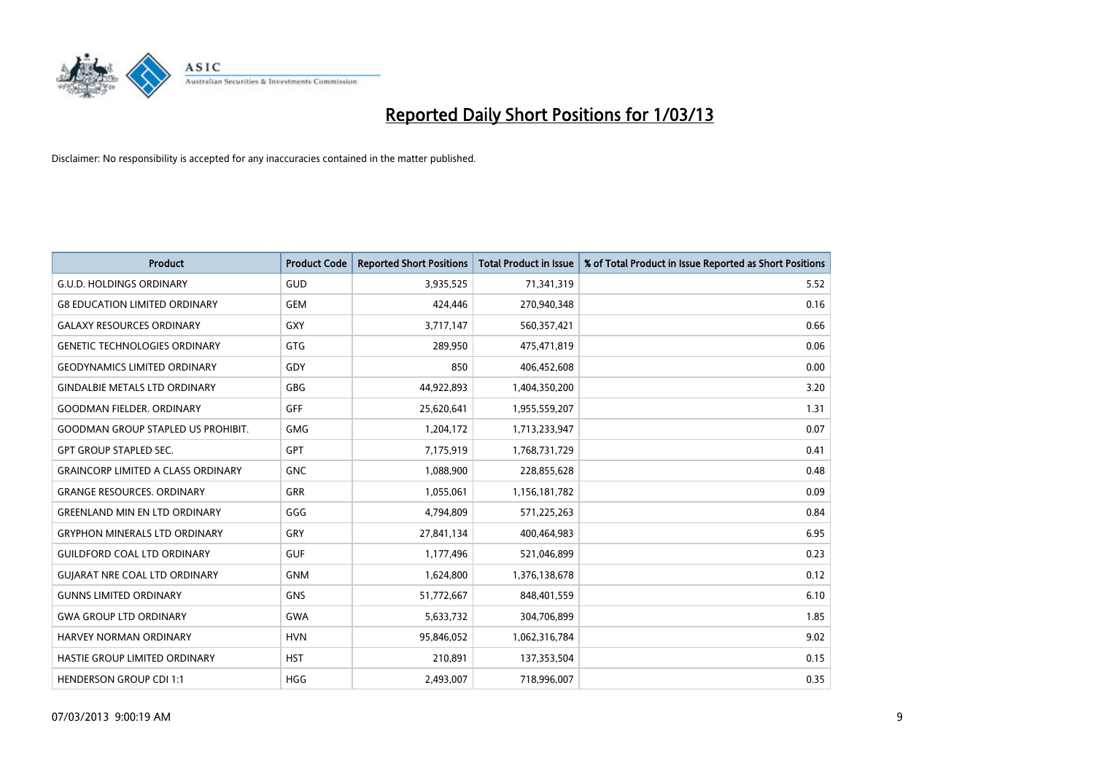

| <b>Product</b>                            | <b>Product Code</b> | <b>Reported Short Positions</b> | <b>Total Product in Issue</b> | % of Total Product in Issue Reported as Short Positions |
|-------------------------------------------|---------------------|---------------------------------|-------------------------------|---------------------------------------------------------|
| <b>G.U.D. HOLDINGS ORDINARY</b>           | <b>GUD</b>          | 3,935,525                       | 71,341,319                    | 5.52                                                    |
| <b>G8 EDUCATION LIMITED ORDINARY</b>      | <b>GEM</b>          | 424,446                         | 270,940,348                   | 0.16                                                    |
| <b>GALAXY RESOURCES ORDINARY</b>          | GXY                 | 3,717,147                       | 560,357,421                   | 0.66                                                    |
| <b>GENETIC TECHNOLOGIES ORDINARY</b>      | <b>GTG</b>          | 289,950                         | 475,471,819                   | 0.06                                                    |
| <b>GEODYNAMICS LIMITED ORDINARY</b>       | GDY                 | 850                             | 406,452,608                   | 0.00                                                    |
| <b>GINDALBIE METALS LTD ORDINARY</b>      | <b>GBG</b>          | 44,922,893                      | 1,404,350,200                 | 3.20                                                    |
| <b>GOODMAN FIELDER. ORDINARY</b>          | GFF                 | 25,620,641                      | 1,955,559,207                 | 1.31                                                    |
| <b>GOODMAN GROUP STAPLED US PROHIBIT.</b> | <b>GMG</b>          | 1,204,172                       | 1,713,233,947                 | 0.07                                                    |
| <b>GPT GROUP STAPLED SEC.</b>             | GPT                 | 7,175,919                       | 1,768,731,729                 | 0.41                                                    |
| <b>GRAINCORP LIMITED A CLASS ORDINARY</b> | <b>GNC</b>          | 1,088,900                       | 228,855,628                   | 0.48                                                    |
| <b>GRANGE RESOURCES. ORDINARY</b>         | <b>GRR</b>          | 1,055,061                       | 1,156,181,782                 | 0.09                                                    |
| <b>GREENLAND MIN EN LTD ORDINARY</b>      | GGG                 | 4,794,809                       | 571,225,263                   | 0.84                                                    |
| <b>GRYPHON MINERALS LTD ORDINARY</b>      | GRY                 | 27,841,134                      | 400,464,983                   | 6.95                                                    |
| <b>GUILDFORD COAL LTD ORDINARY</b>        | <b>GUF</b>          | 1,177,496                       | 521,046,899                   | 0.23                                                    |
| GUJARAT NRE COAL LTD ORDINARY             | <b>GNM</b>          | 1,624,800                       | 1,376,138,678                 | 0.12                                                    |
| <b>GUNNS LIMITED ORDINARY</b>             | <b>GNS</b>          | 51,772,667                      | 848,401,559                   | 6.10                                                    |
| <b>GWA GROUP LTD ORDINARY</b>             | <b>GWA</b>          | 5,633,732                       | 304,706,899                   | 1.85                                                    |
| HARVEY NORMAN ORDINARY                    | <b>HVN</b>          | 95,846,052                      | 1,062,316,784                 | 9.02                                                    |
| HASTIE GROUP LIMITED ORDINARY             | <b>HST</b>          | 210,891                         | 137,353,504                   | 0.15                                                    |
| <b>HENDERSON GROUP CDI 1:1</b>            | <b>HGG</b>          | 2,493,007                       | 718,996,007                   | 0.35                                                    |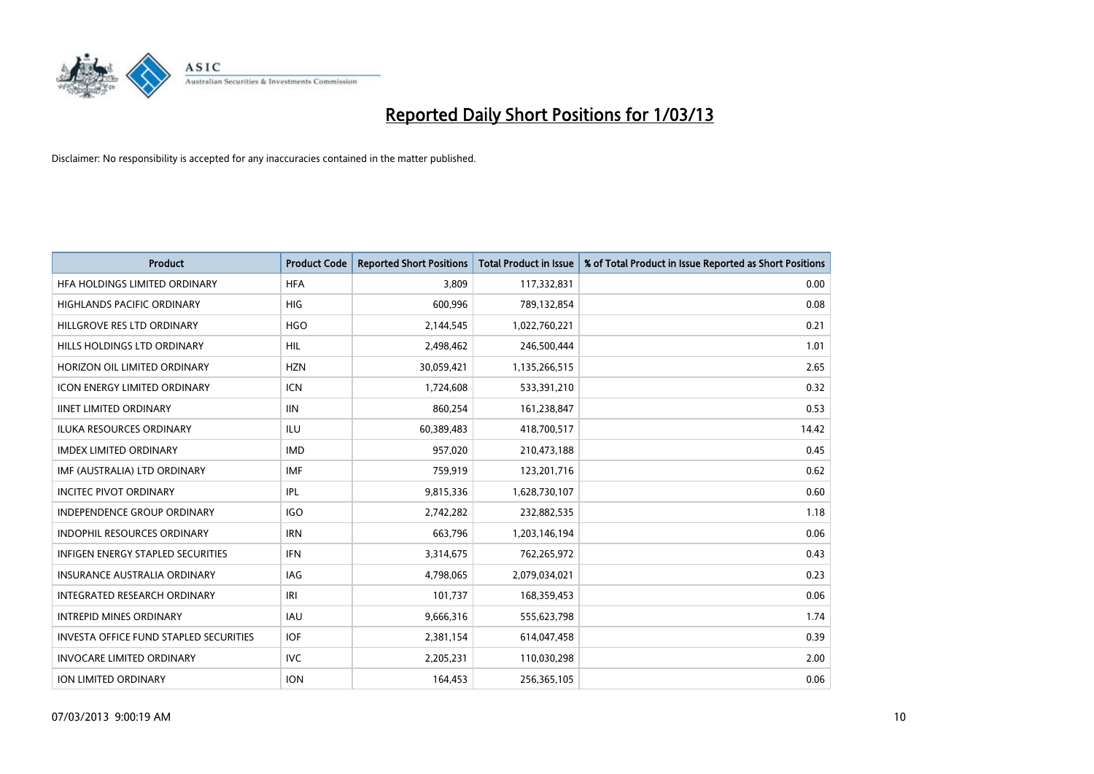

| <b>Product</b>                                | <b>Product Code</b> | <b>Reported Short Positions</b> | <b>Total Product in Issue</b> | % of Total Product in Issue Reported as Short Positions |
|-----------------------------------------------|---------------------|---------------------------------|-------------------------------|---------------------------------------------------------|
| HFA HOLDINGS LIMITED ORDINARY                 | <b>HFA</b>          | 3.809                           | 117,332,831                   | 0.00                                                    |
| HIGHLANDS PACIFIC ORDINARY                    | <b>HIG</b>          | 600,996                         | 789,132,854                   | 0.08                                                    |
| HILLGROVE RES LTD ORDINARY                    | <b>HGO</b>          | 2,144,545                       | 1,022,760,221                 | 0.21                                                    |
| HILLS HOLDINGS LTD ORDINARY                   | <b>HIL</b>          | 2,498,462                       | 246,500,444                   | 1.01                                                    |
| HORIZON OIL LIMITED ORDINARY                  | <b>HZN</b>          | 30,059,421                      | 1,135,266,515                 | 2.65                                                    |
| <b>ICON ENERGY LIMITED ORDINARY</b>           | <b>ICN</b>          | 1,724,608                       | 533,391,210                   | 0.32                                                    |
| <b>IINET LIMITED ORDINARY</b>                 | <b>IIN</b>          | 860,254                         | 161,238,847                   | 0.53                                                    |
| ILUKA RESOURCES ORDINARY                      | ILU                 | 60,389,483                      | 418,700,517                   | 14.42                                                   |
| <b>IMDEX LIMITED ORDINARY</b>                 | <b>IMD</b>          | 957,020                         | 210,473,188                   | 0.45                                                    |
| IMF (AUSTRALIA) LTD ORDINARY                  | IMF                 | 759,919                         | 123,201,716                   | 0.62                                                    |
| <b>INCITEC PIVOT ORDINARY</b>                 | IPL                 | 9,815,336                       | 1,628,730,107                 | 0.60                                                    |
| <b>INDEPENDENCE GROUP ORDINARY</b>            | <b>IGO</b>          | 2,742,282                       | 232,882,535                   | 1.18                                                    |
| INDOPHIL RESOURCES ORDINARY                   | <b>IRN</b>          | 663,796                         | 1,203,146,194                 | 0.06                                                    |
| INFIGEN ENERGY STAPLED SECURITIES             | <b>IFN</b>          | 3,314,675                       | 762,265,972                   | 0.43                                                    |
| <b>INSURANCE AUSTRALIA ORDINARY</b>           | IAG                 | 4,798,065                       | 2,079,034,021                 | 0.23                                                    |
| <b>INTEGRATED RESEARCH ORDINARY</b>           | IRI                 | 101,737                         | 168,359,453                   | 0.06                                                    |
| <b>INTREPID MINES ORDINARY</b>                | <b>IAU</b>          | 9,666,316                       | 555,623,798                   | 1.74                                                    |
| <b>INVESTA OFFICE FUND STAPLED SECURITIES</b> | <b>IOF</b>          | 2,381,154                       | 614,047,458                   | 0.39                                                    |
| <b>INVOCARE LIMITED ORDINARY</b>              | IVC                 | 2,205,231                       | 110,030,298                   | 2.00                                                    |
| ION LIMITED ORDINARY                          | <b>ION</b>          | 164,453                         | 256,365,105                   | 0.06                                                    |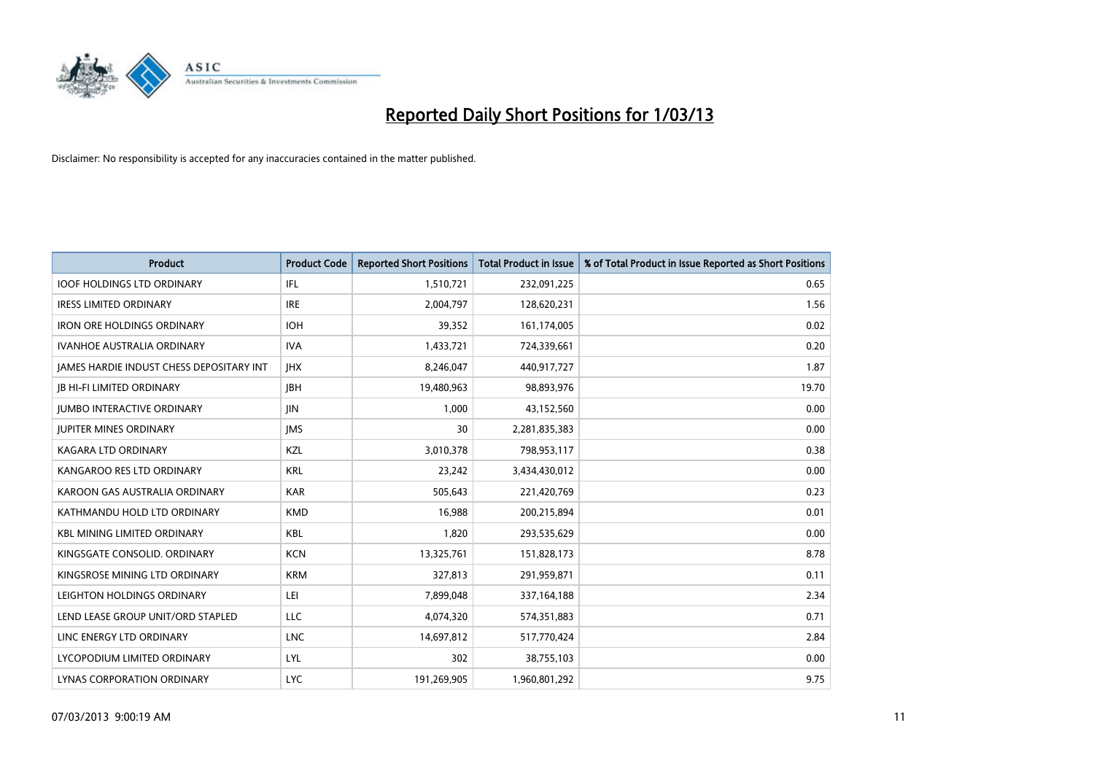

| <b>Product</b>                                  | <b>Product Code</b> | <b>Reported Short Positions</b> | <b>Total Product in Issue</b> | % of Total Product in Issue Reported as Short Positions |
|-------------------------------------------------|---------------------|---------------------------------|-------------------------------|---------------------------------------------------------|
| <b>IOOF HOLDINGS LTD ORDINARY</b>               | IFL                 | 1,510,721                       | 232,091,225                   | 0.65                                                    |
| <b>IRESS LIMITED ORDINARY</b>                   | <b>IRE</b>          | 2,004,797                       | 128,620,231                   | 1.56                                                    |
| <b>IRON ORE HOLDINGS ORDINARY</b>               | <b>IOH</b>          | 39,352                          | 161,174,005                   | 0.02                                                    |
| <b>IVANHOE AUSTRALIA ORDINARY</b>               | <b>IVA</b>          | 1,433,721                       | 724,339,661                   | 0.20                                                    |
| <b>IAMES HARDIE INDUST CHESS DEPOSITARY INT</b> | <b>IHX</b>          | 8,246,047                       | 440,917,727                   | 1.87                                                    |
| <b>JB HI-FI LIMITED ORDINARY</b>                | <b>IBH</b>          | 19,480,963                      | 98,893,976                    | 19.70                                                   |
| <b>JUMBO INTERACTIVE ORDINARY</b>               | <b>IIN</b>          | 1.000                           | 43,152,560                    | 0.00                                                    |
| <b>JUPITER MINES ORDINARY</b>                   | <b>IMS</b>          | 30                              | 2,281,835,383                 | 0.00                                                    |
| KAGARA LTD ORDINARY                             | KZL                 | 3,010,378                       | 798,953,117                   | 0.38                                                    |
| KANGAROO RES LTD ORDINARY                       | <b>KRL</b>          | 23,242                          | 3,434,430,012                 | 0.00                                                    |
| KAROON GAS AUSTRALIA ORDINARY                   | <b>KAR</b>          | 505,643                         | 221,420,769                   | 0.23                                                    |
| KATHMANDU HOLD LTD ORDINARY                     | <b>KMD</b>          | 16,988                          | 200,215,894                   | 0.01                                                    |
| <b>KBL MINING LIMITED ORDINARY</b>              | KBL                 | 1,820                           | 293,535,629                   | 0.00                                                    |
| KINGSGATE CONSOLID. ORDINARY                    | <b>KCN</b>          | 13,325,761                      | 151,828,173                   | 8.78                                                    |
| KINGSROSE MINING LTD ORDINARY                   | <b>KRM</b>          | 327,813                         | 291,959,871                   | 0.11                                                    |
| LEIGHTON HOLDINGS ORDINARY                      | LEI                 | 7,899,048                       | 337,164,188                   | 2.34                                                    |
| LEND LEASE GROUP UNIT/ORD STAPLED               | <b>LLC</b>          | 4,074,320                       | 574,351,883                   | 0.71                                                    |
| LINC ENERGY LTD ORDINARY                        | <b>LNC</b>          | 14,697,812                      | 517,770,424                   | 2.84                                                    |
| LYCOPODIUM LIMITED ORDINARY                     | <b>LYL</b>          | 302                             | 38,755,103                    | 0.00                                                    |
| LYNAS CORPORATION ORDINARY                      | <b>LYC</b>          | 191,269,905                     | 1,960,801,292                 | 9.75                                                    |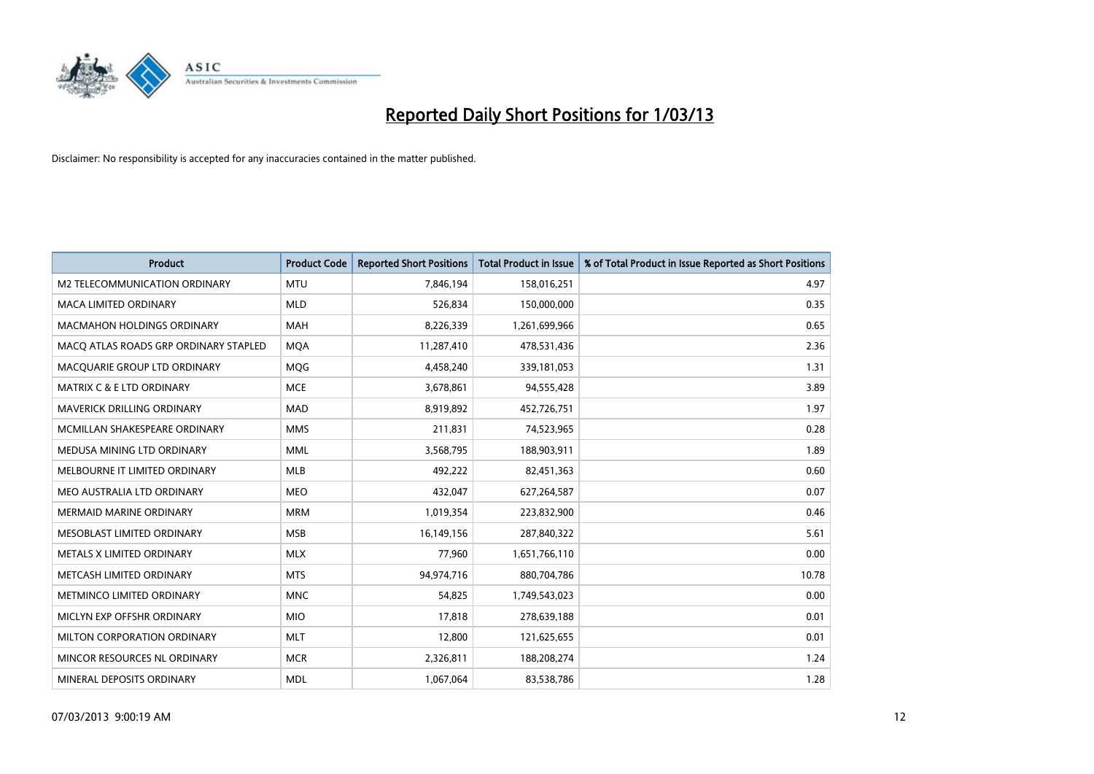

| <b>Product</b>                        | <b>Product Code</b> | <b>Reported Short Positions</b> | <b>Total Product in Issue</b> | % of Total Product in Issue Reported as Short Positions |
|---------------------------------------|---------------------|---------------------------------|-------------------------------|---------------------------------------------------------|
| M2 TELECOMMUNICATION ORDINARY         | <b>MTU</b>          | 7,846,194                       | 158,016,251                   | 4.97                                                    |
| MACA LIMITED ORDINARY                 | <b>MLD</b>          | 526,834                         | 150,000,000                   | 0.35                                                    |
| <b>MACMAHON HOLDINGS ORDINARY</b>     | <b>MAH</b>          | 8,226,339                       | 1,261,699,966                 | 0.65                                                    |
| MACO ATLAS ROADS GRP ORDINARY STAPLED | <b>MOA</b>          | 11,287,410                      | 478,531,436                   | 2.36                                                    |
| MACQUARIE GROUP LTD ORDINARY          | MQG                 | 4,458,240                       | 339,181,053                   | 1.31                                                    |
| <b>MATRIX C &amp; E LTD ORDINARY</b>  | <b>MCE</b>          | 3,678,861                       | 94,555,428                    | 3.89                                                    |
| <b>MAVERICK DRILLING ORDINARY</b>     | <b>MAD</b>          | 8,919,892                       | 452,726,751                   | 1.97                                                    |
| MCMILLAN SHAKESPEARE ORDINARY         | <b>MMS</b>          | 211,831                         | 74,523,965                    | 0.28                                                    |
| MEDUSA MINING LTD ORDINARY            | <b>MML</b>          | 3,568,795                       | 188,903,911                   | 1.89                                                    |
| MELBOURNE IT LIMITED ORDINARY         | <b>MLB</b>          | 492,222                         | 82,451,363                    | 0.60                                                    |
| MEO AUSTRALIA LTD ORDINARY            | <b>MEO</b>          | 432,047                         | 627,264,587                   | 0.07                                                    |
| MERMAID MARINE ORDINARY               | <b>MRM</b>          | 1,019,354                       | 223,832,900                   | 0.46                                                    |
| MESOBLAST LIMITED ORDINARY            | <b>MSB</b>          | 16,149,156                      | 287,840,322                   | 5.61                                                    |
| METALS X LIMITED ORDINARY             | <b>MLX</b>          | 77,960                          | 1,651,766,110                 | 0.00                                                    |
| METCASH LIMITED ORDINARY              | <b>MTS</b>          | 94,974,716                      | 880,704,786                   | 10.78                                                   |
| METMINCO LIMITED ORDINARY             | <b>MNC</b>          | 54,825                          | 1,749,543,023                 | 0.00                                                    |
| MICLYN EXP OFFSHR ORDINARY            | <b>MIO</b>          | 17,818                          | 278,639,188                   | 0.01                                                    |
| MILTON CORPORATION ORDINARY           | <b>MLT</b>          | 12,800                          | 121,625,655                   | 0.01                                                    |
| MINCOR RESOURCES NL ORDINARY          | <b>MCR</b>          | 2,326,811                       | 188,208,274                   | 1.24                                                    |
| MINERAL DEPOSITS ORDINARY             | <b>MDL</b>          | 1,067,064                       | 83,538,786                    | 1.28                                                    |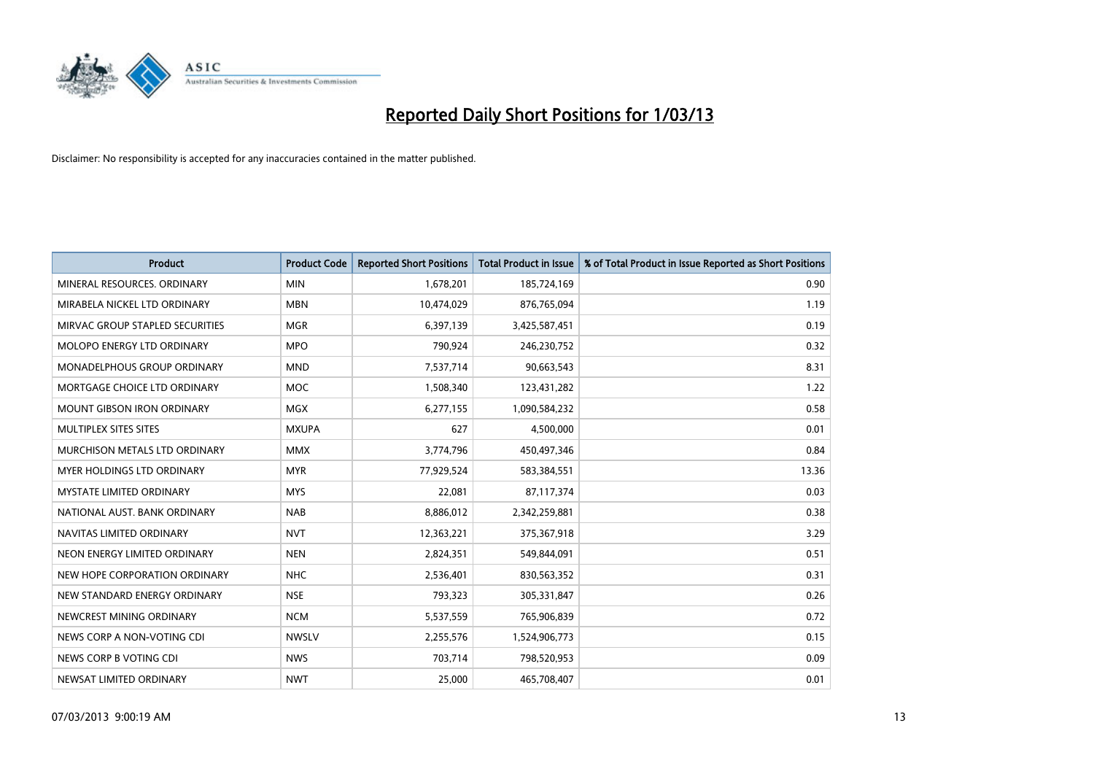

| <b>Product</b>                    | <b>Product Code</b> | <b>Reported Short Positions</b> | <b>Total Product in Issue</b> | % of Total Product in Issue Reported as Short Positions |
|-----------------------------------|---------------------|---------------------------------|-------------------------------|---------------------------------------------------------|
| MINERAL RESOURCES, ORDINARY       | <b>MIN</b>          | 1,678,201                       | 185,724,169                   | 0.90                                                    |
| MIRABELA NICKEL LTD ORDINARY      | <b>MBN</b>          | 10,474,029                      | 876,765,094                   | 1.19                                                    |
| MIRVAC GROUP STAPLED SECURITIES   | <b>MGR</b>          | 6,397,139                       | 3,425,587,451                 | 0.19                                                    |
| MOLOPO ENERGY LTD ORDINARY        | <b>MPO</b>          | 790,924                         | 246,230,752                   | 0.32                                                    |
| MONADELPHOUS GROUP ORDINARY       | <b>MND</b>          | 7,537,714                       | 90,663,543                    | 8.31                                                    |
| MORTGAGE CHOICE LTD ORDINARY      | <b>MOC</b>          | 1,508,340                       | 123,431,282                   | 1.22                                                    |
| <b>MOUNT GIBSON IRON ORDINARY</b> | <b>MGX</b>          | 6,277,155                       | 1,090,584,232                 | 0.58                                                    |
| <b>MULTIPLEX SITES SITES</b>      | <b>MXUPA</b>        | 627                             | 4,500,000                     | 0.01                                                    |
| MURCHISON METALS LTD ORDINARY     | <b>MMX</b>          | 3,774,796                       | 450,497,346                   | 0.84                                                    |
| <b>MYER HOLDINGS LTD ORDINARY</b> | <b>MYR</b>          | 77,929,524                      | 583,384,551                   | 13.36                                                   |
| <b>MYSTATE LIMITED ORDINARY</b>   | <b>MYS</b>          | 22,081                          | 87,117,374                    | 0.03                                                    |
| NATIONAL AUST. BANK ORDINARY      | <b>NAB</b>          | 8,886,012                       | 2,342,259,881                 | 0.38                                                    |
| NAVITAS LIMITED ORDINARY          | <b>NVT</b>          | 12,363,221                      | 375,367,918                   | 3.29                                                    |
| NEON ENERGY LIMITED ORDINARY      | <b>NEN</b>          | 2,824,351                       | 549,844,091                   | 0.51                                                    |
| NEW HOPE CORPORATION ORDINARY     | <b>NHC</b>          | 2,536,401                       | 830,563,352                   | 0.31                                                    |
| NEW STANDARD ENERGY ORDINARY      | <b>NSE</b>          | 793,323                         | 305,331,847                   | 0.26                                                    |
| NEWCREST MINING ORDINARY          | <b>NCM</b>          | 5,537,559                       | 765,906,839                   | 0.72                                                    |
| NEWS CORP A NON-VOTING CDI        | <b>NWSLV</b>        | 2,255,576                       | 1,524,906,773                 | 0.15                                                    |
| NEWS CORP B VOTING CDI            | <b>NWS</b>          | 703,714                         | 798,520,953                   | 0.09                                                    |
| NEWSAT LIMITED ORDINARY           | <b>NWT</b>          | 25,000                          | 465,708,407                   | 0.01                                                    |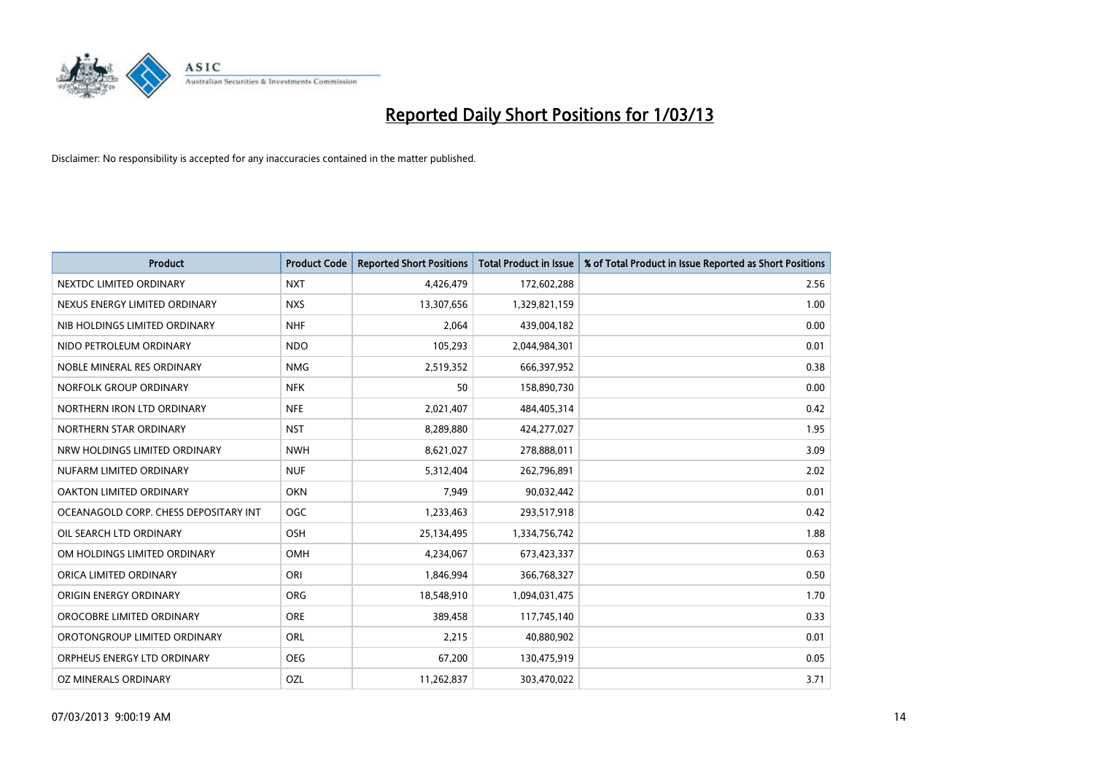

| <b>Product</b>                        | <b>Product Code</b> | <b>Reported Short Positions</b> | <b>Total Product in Issue</b> | % of Total Product in Issue Reported as Short Positions |
|---------------------------------------|---------------------|---------------------------------|-------------------------------|---------------------------------------------------------|
| NEXTDC LIMITED ORDINARY               | <b>NXT</b>          | 4,426,479                       | 172,602,288                   | 2.56                                                    |
| NEXUS ENERGY LIMITED ORDINARY         | <b>NXS</b>          | 13,307,656                      | 1,329,821,159                 | 1.00                                                    |
| NIB HOLDINGS LIMITED ORDINARY         | <b>NHF</b>          | 2,064                           | 439,004,182                   | 0.00                                                    |
| NIDO PETROLEUM ORDINARY               | <b>NDO</b>          | 105,293                         | 2,044,984,301                 | 0.01                                                    |
| NOBLE MINERAL RES ORDINARY            | <b>NMG</b>          | 2,519,352                       | 666,397,952                   | 0.38                                                    |
| NORFOLK GROUP ORDINARY                | <b>NFK</b>          | 50                              | 158,890,730                   | 0.00                                                    |
| NORTHERN IRON LTD ORDINARY            | <b>NFE</b>          | 2,021,407                       | 484,405,314                   | 0.42                                                    |
| NORTHERN STAR ORDINARY                | <b>NST</b>          | 8,289,880                       | 424,277,027                   | 1.95                                                    |
| NRW HOLDINGS LIMITED ORDINARY         | <b>NWH</b>          | 8,621,027                       | 278,888,011                   | 3.09                                                    |
| NUFARM LIMITED ORDINARY               | <b>NUF</b>          | 5,312,404                       | 262,796,891                   | 2.02                                                    |
| OAKTON LIMITED ORDINARY               | <b>OKN</b>          | 7,949                           | 90,032,442                    | 0.01                                                    |
| OCEANAGOLD CORP. CHESS DEPOSITARY INT | <b>OGC</b>          | 1,233,463                       | 293,517,918                   | 0.42                                                    |
| OIL SEARCH LTD ORDINARY               | OSH                 | 25,134,495                      | 1,334,756,742                 | 1.88                                                    |
| OM HOLDINGS LIMITED ORDINARY          | OMH                 | 4,234,067                       | 673,423,337                   | 0.63                                                    |
| ORICA LIMITED ORDINARY                | ORI                 | 1,846,994                       | 366,768,327                   | 0.50                                                    |
| ORIGIN ENERGY ORDINARY                | <b>ORG</b>          | 18,548,910                      | 1,094,031,475                 | 1.70                                                    |
| OROCOBRE LIMITED ORDINARY             | <b>ORE</b>          | 389,458                         | 117,745,140                   | 0.33                                                    |
| OROTONGROUP LIMITED ORDINARY          | ORL                 | 2,215                           | 40,880,902                    | 0.01                                                    |
| ORPHEUS ENERGY LTD ORDINARY           | <b>OEG</b>          | 67,200                          | 130,475,919                   | 0.05                                                    |
| OZ MINERALS ORDINARY                  | OZL                 | 11,262,837                      | 303,470,022                   | 3.71                                                    |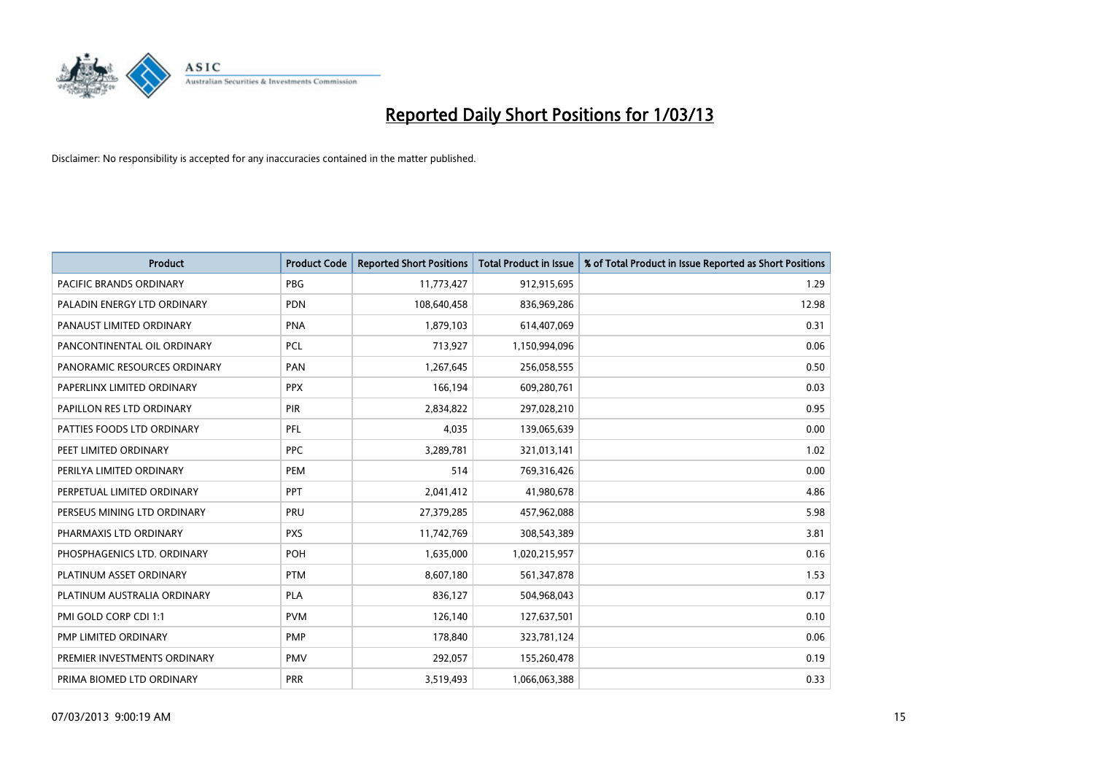

| <b>Product</b>               | <b>Product Code</b> | <b>Reported Short Positions</b> | Total Product in Issue | % of Total Product in Issue Reported as Short Positions |
|------------------------------|---------------------|---------------------------------|------------------------|---------------------------------------------------------|
| PACIFIC BRANDS ORDINARY      | <b>PBG</b>          | 11,773,427                      | 912,915,695            | 1.29                                                    |
| PALADIN ENERGY LTD ORDINARY  | <b>PDN</b>          | 108,640,458                     | 836,969,286            | 12.98                                                   |
| PANAUST LIMITED ORDINARY     | <b>PNA</b>          | 1,879,103                       | 614,407,069            | 0.31                                                    |
| PANCONTINENTAL OIL ORDINARY  | PCL                 | 713,927                         | 1,150,994,096          | 0.06                                                    |
| PANORAMIC RESOURCES ORDINARY | PAN                 | 1,267,645                       | 256,058,555            | 0.50                                                    |
| PAPERLINX LIMITED ORDINARY   | <b>PPX</b>          | 166,194                         | 609,280,761            | 0.03                                                    |
| PAPILLON RES LTD ORDINARY    | PIR                 | 2,834,822                       | 297,028,210            | 0.95                                                    |
| PATTIES FOODS LTD ORDINARY   | <b>PFL</b>          | 4,035                           | 139,065,639            | 0.00                                                    |
| PEET LIMITED ORDINARY        | <b>PPC</b>          | 3,289,781                       | 321,013,141            | 1.02                                                    |
| PERILYA LIMITED ORDINARY     | PEM                 | 514                             | 769,316,426            | 0.00                                                    |
| PERPETUAL LIMITED ORDINARY   | <b>PPT</b>          | 2,041,412                       | 41,980,678             | 4.86                                                    |
| PERSEUS MINING LTD ORDINARY  | PRU                 | 27,379,285                      | 457,962,088            | 5.98                                                    |
| PHARMAXIS LTD ORDINARY       | <b>PXS</b>          | 11,742,769                      | 308,543,389            | 3.81                                                    |
| PHOSPHAGENICS LTD. ORDINARY  | POH                 | 1,635,000                       | 1,020,215,957          | 0.16                                                    |
| PLATINUM ASSET ORDINARY      | <b>PTM</b>          | 8,607,180                       | 561,347,878            | 1.53                                                    |
| PLATINUM AUSTRALIA ORDINARY  | PLA                 | 836,127                         | 504,968,043            | 0.17                                                    |
| PMI GOLD CORP CDI 1:1        | <b>PVM</b>          | 126,140                         | 127,637,501            | 0.10                                                    |
| PMP LIMITED ORDINARY         | <b>PMP</b>          | 178,840                         | 323,781,124            | 0.06                                                    |
| PREMIER INVESTMENTS ORDINARY | <b>PMV</b>          | 292,057                         | 155,260,478            | 0.19                                                    |
| PRIMA BIOMED LTD ORDINARY    | PRR                 | 3,519,493                       | 1,066,063,388          | 0.33                                                    |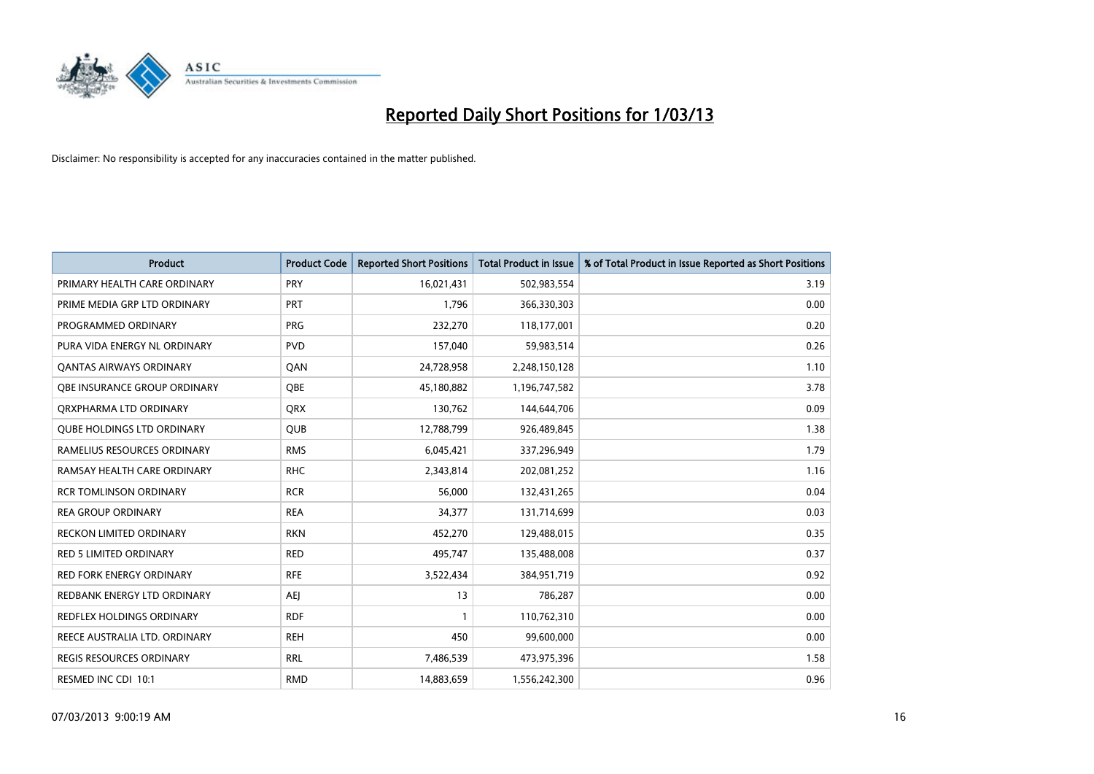

| <b>Product</b>                    | <b>Product Code</b> | <b>Reported Short Positions</b> | <b>Total Product in Issue</b> | % of Total Product in Issue Reported as Short Positions |
|-----------------------------------|---------------------|---------------------------------|-------------------------------|---------------------------------------------------------|
| PRIMARY HEALTH CARE ORDINARY      | PRY                 | 16,021,431                      | 502,983,554                   | 3.19                                                    |
| PRIME MEDIA GRP LTD ORDINARY      | <b>PRT</b>          | 1,796                           | 366,330,303                   | 0.00                                                    |
| PROGRAMMED ORDINARY               | <b>PRG</b>          | 232,270                         | 118,177,001                   | 0.20                                                    |
| PURA VIDA ENERGY NL ORDINARY      | <b>PVD</b>          | 157,040                         | 59,983,514                    | 0.26                                                    |
| OANTAS AIRWAYS ORDINARY           | QAN                 | 24,728,958                      | 2,248,150,128                 | 1.10                                                    |
| OBE INSURANCE GROUP ORDINARY      | <b>OBE</b>          | 45,180,882                      | 1,196,747,582                 | 3.78                                                    |
| ORXPHARMA LTD ORDINARY            | <b>QRX</b>          | 130,762                         | 144,644,706                   | 0.09                                                    |
| <b>QUBE HOLDINGS LTD ORDINARY</b> | <b>QUB</b>          | 12,788,799                      | 926,489,845                   | 1.38                                                    |
| RAMELIUS RESOURCES ORDINARY       | <b>RMS</b>          | 6,045,421                       | 337,296,949                   | 1.79                                                    |
| RAMSAY HEALTH CARE ORDINARY       | <b>RHC</b>          | 2,343,814                       | 202,081,252                   | 1.16                                                    |
| <b>RCR TOMLINSON ORDINARY</b>     | <b>RCR</b>          | 56,000                          | 132,431,265                   | 0.04                                                    |
| <b>REA GROUP ORDINARY</b>         | <b>REA</b>          | 34,377                          | 131,714,699                   | 0.03                                                    |
| <b>RECKON LIMITED ORDINARY</b>    | <b>RKN</b>          | 452,270                         | 129,488,015                   | 0.35                                                    |
| <b>RED 5 LIMITED ORDINARY</b>     | <b>RED</b>          | 495,747                         | 135,488,008                   | 0.37                                                    |
| <b>RED FORK ENERGY ORDINARY</b>   | <b>RFE</b>          | 3,522,434                       | 384,951,719                   | 0.92                                                    |
| REDBANK ENERGY LTD ORDINARY       | AEJ                 | 13                              | 786,287                       | 0.00                                                    |
| REDFLEX HOLDINGS ORDINARY         | <b>RDF</b>          |                                 | 110,762,310                   | 0.00                                                    |
| REECE AUSTRALIA LTD. ORDINARY     | <b>REH</b>          | 450                             | 99,600,000                    | 0.00                                                    |
| <b>REGIS RESOURCES ORDINARY</b>   | <b>RRL</b>          | 7,486,539                       | 473,975,396                   | 1.58                                                    |
| RESMED INC CDI 10:1               | <b>RMD</b>          | 14,883,659                      | 1,556,242,300                 | 0.96                                                    |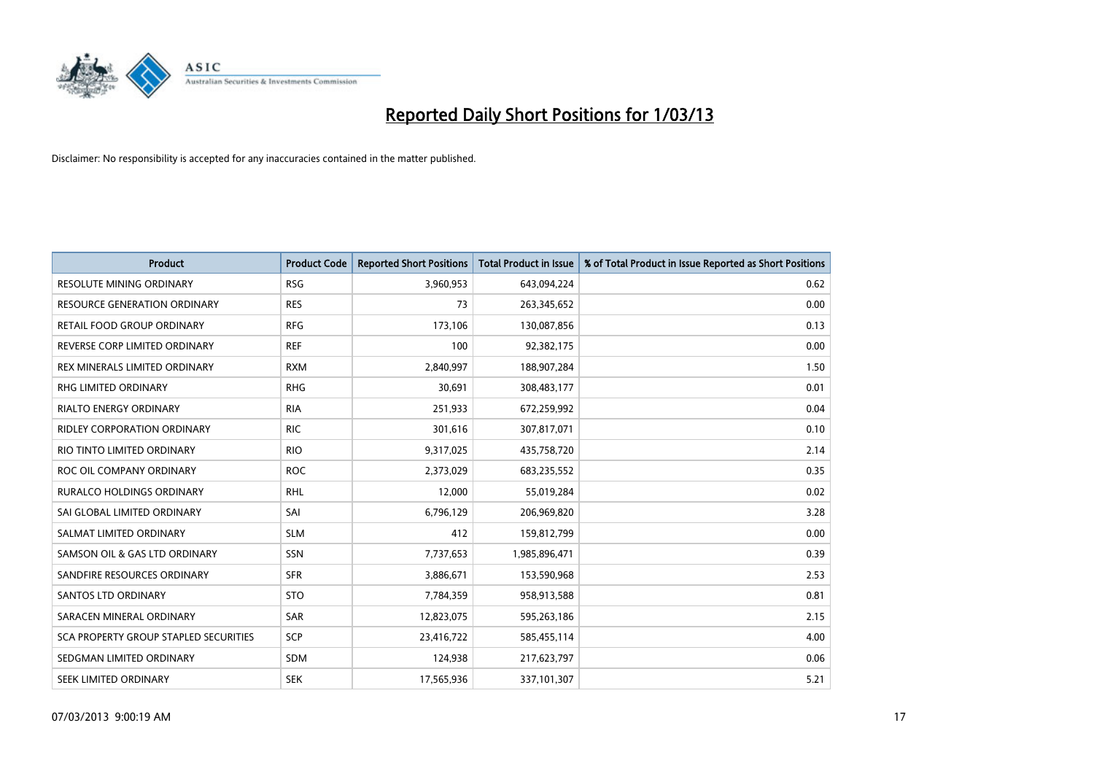

| <b>Product</b>                        | <b>Product Code</b> | <b>Reported Short Positions</b> | <b>Total Product in Issue</b> | % of Total Product in Issue Reported as Short Positions |
|---------------------------------------|---------------------|---------------------------------|-------------------------------|---------------------------------------------------------|
| <b>RESOLUTE MINING ORDINARY</b>       | <b>RSG</b>          | 3,960,953                       | 643,094,224                   | 0.62                                                    |
| <b>RESOURCE GENERATION ORDINARY</b>   | <b>RES</b>          | 73                              | 263,345,652                   | 0.00                                                    |
| RETAIL FOOD GROUP ORDINARY            | <b>RFG</b>          | 173,106                         | 130,087,856                   | 0.13                                                    |
| REVERSE CORP LIMITED ORDINARY         | <b>REF</b>          | 100                             | 92,382,175                    | 0.00                                                    |
| REX MINERALS LIMITED ORDINARY         | <b>RXM</b>          | 2,840,997                       | 188,907,284                   | 1.50                                                    |
| RHG LIMITED ORDINARY                  | <b>RHG</b>          | 30,691                          | 308,483,177                   | 0.01                                                    |
| <b>RIALTO ENERGY ORDINARY</b>         | <b>RIA</b>          | 251,933                         | 672,259,992                   | 0.04                                                    |
| <b>RIDLEY CORPORATION ORDINARY</b>    | <b>RIC</b>          | 301,616                         | 307,817,071                   | 0.10                                                    |
| RIO TINTO LIMITED ORDINARY            | <b>RIO</b>          | 9,317,025                       | 435,758,720                   | 2.14                                                    |
| ROC OIL COMPANY ORDINARY              | <b>ROC</b>          | 2,373,029                       | 683,235,552                   | 0.35                                                    |
| <b>RURALCO HOLDINGS ORDINARY</b>      | <b>RHL</b>          | 12,000                          | 55,019,284                    | 0.02                                                    |
| SAI GLOBAL LIMITED ORDINARY           | SAI                 | 6,796,129                       | 206,969,820                   | 3.28                                                    |
| SALMAT LIMITED ORDINARY               | <b>SLM</b>          | 412                             | 159,812,799                   | 0.00                                                    |
| SAMSON OIL & GAS LTD ORDINARY         | SSN                 | 7,737,653                       | 1,985,896,471                 | 0.39                                                    |
| SANDFIRE RESOURCES ORDINARY           | <b>SFR</b>          | 3,886,671                       | 153,590,968                   | 2.53                                                    |
| <b>SANTOS LTD ORDINARY</b>            | <b>STO</b>          | 7,784,359                       | 958,913,588                   | 0.81                                                    |
| SARACEN MINERAL ORDINARY              | SAR                 | 12,823,075                      | 595,263,186                   | 2.15                                                    |
| SCA PROPERTY GROUP STAPLED SECURITIES | SCP                 | 23,416,722                      | 585,455,114                   | 4.00                                                    |
| SEDGMAN LIMITED ORDINARY              | <b>SDM</b>          | 124,938                         | 217,623,797                   | 0.06                                                    |
| SEEK LIMITED ORDINARY                 | <b>SEK</b>          | 17,565,936                      | 337,101,307                   | 5.21                                                    |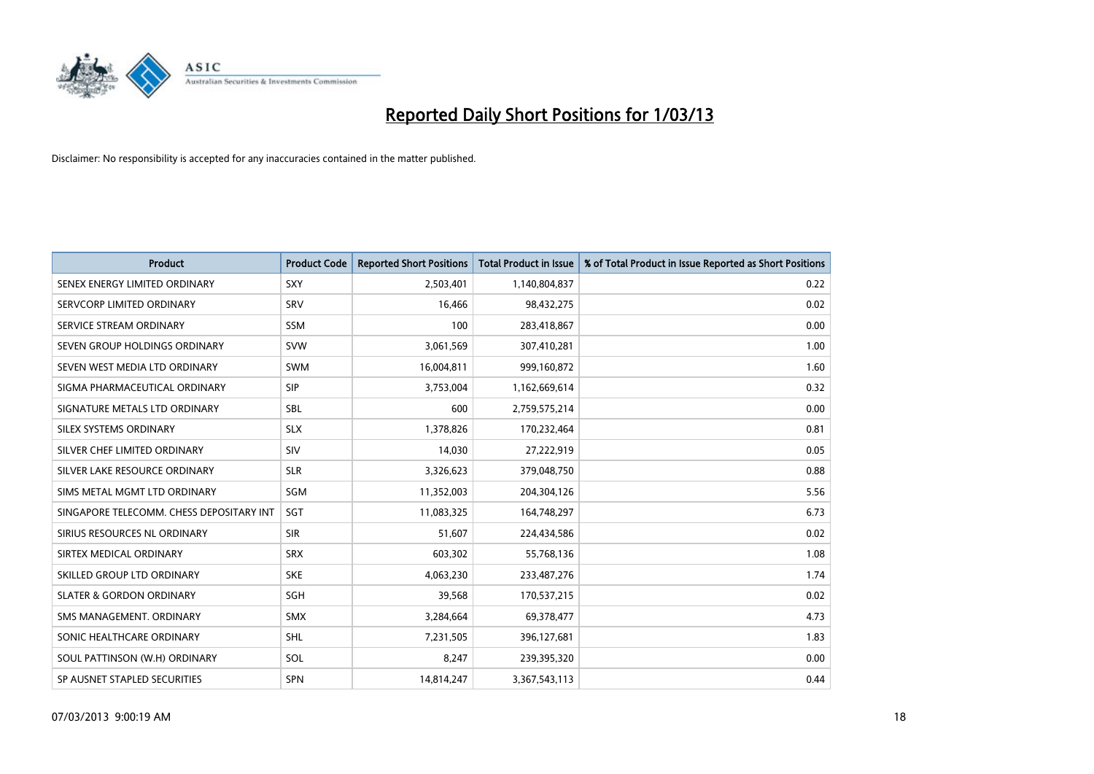

| <b>Product</b>                           | <b>Product Code</b> | <b>Reported Short Positions</b> | <b>Total Product in Issue</b> | % of Total Product in Issue Reported as Short Positions |
|------------------------------------------|---------------------|---------------------------------|-------------------------------|---------------------------------------------------------|
| SENEX ENERGY LIMITED ORDINARY            | <b>SXY</b>          | 2,503,401                       | 1,140,804,837                 | 0.22                                                    |
| SERVCORP LIMITED ORDINARY                | SRV                 | 16,466                          | 98,432,275                    | 0.02                                                    |
| SERVICE STREAM ORDINARY                  | <b>SSM</b>          | 100                             | 283,418,867                   | 0.00                                                    |
| SEVEN GROUP HOLDINGS ORDINARY            | <b>SVW</b>          | 3,061,569                       | 307,410,281                   | 1.00                                                    |
| SEVEN WEST MEDIA LTD ORDINARY            | <b>SWM</b>          | 16,004,811                      | 999,160,872                   | 1.60                                                    |
| SIGMA PHARMACEUTICAL ORDINARY            | <b>SIP</b>          | 3,753,004                       | 1,162,669,614                 | 0.32                                                    |
| SIGNATURE METALS LTD ORDINARY            | <b>SBL</b>          | 600                             | 2,759,575,214                 | 0.00                                                    |
| SILEX SYSTEMS ORDINARY                   | <b>SLX</b>          | 1,378,826                       | 170,232,464                   | 0.81                                                    |
| SILVER CHEF LIMITED ORDINARY             | SIV                 | 14,030                          | 27,222,919                    | 0.05                                                    |
| SILVER LAKE RESOURCE ORDINARY            | <b>SLR</b>          | 3,326,623                       | 379,048,750                   | 0.88                                                    |
| SIMS METAL MGMT LTD ORDINARY             | <b>SGM</b>          | 11,352,003                      | 204,304,126                   | 5.56                                                    |
| SINGAPORE TELECOMM. CHESS DEPOSITARY INT | SGT                 | 11,083,325                      | 164,748,297                   | 6.73                                                    |
| SIRIUS RESOURCES NL ORDINARY             | <b>SIR</b>          | 51,607                          | 224,434,586                   | 0.02                                                    |
| SIRTEX MEDICAL ORDINARY                  | <b>SRX</b>          | 603,302                         | 55,768,136                    | 1.08                                                    |
| SKILLED GROUP LTD ORDINARY               | <b>SKE</b>          | 4,063,230                       | 233,487,276                   | 1.74                                                    |
| <b>SLATER &amp; GORDON ORDINARY</b>      | SGH                 | 39,568                          | 170,537,215                   | 0.02                                                    |
| SMS MANAGEMENT, ORDINARY                 | <b>SMX</b>          | 3,284,664                       | 69,378,477                    | 4.73                                                    |
| SONIC HEALTHCARE ORDINARY                | <b>SHL</b>          | 7,231,505                       | 396,127,681                   | 1.83                                                    |
| SOUL PATTINSON (W.H) ORDINARY            | SOL                 | 8,247                           | 239,395,320                   | 0.00                                                    |
| SP AUSNET STAPLED SECURITIES             | <b>SPN</b>          | 14,814,247                      | 3,367,543,113                 | 0.44                                                    |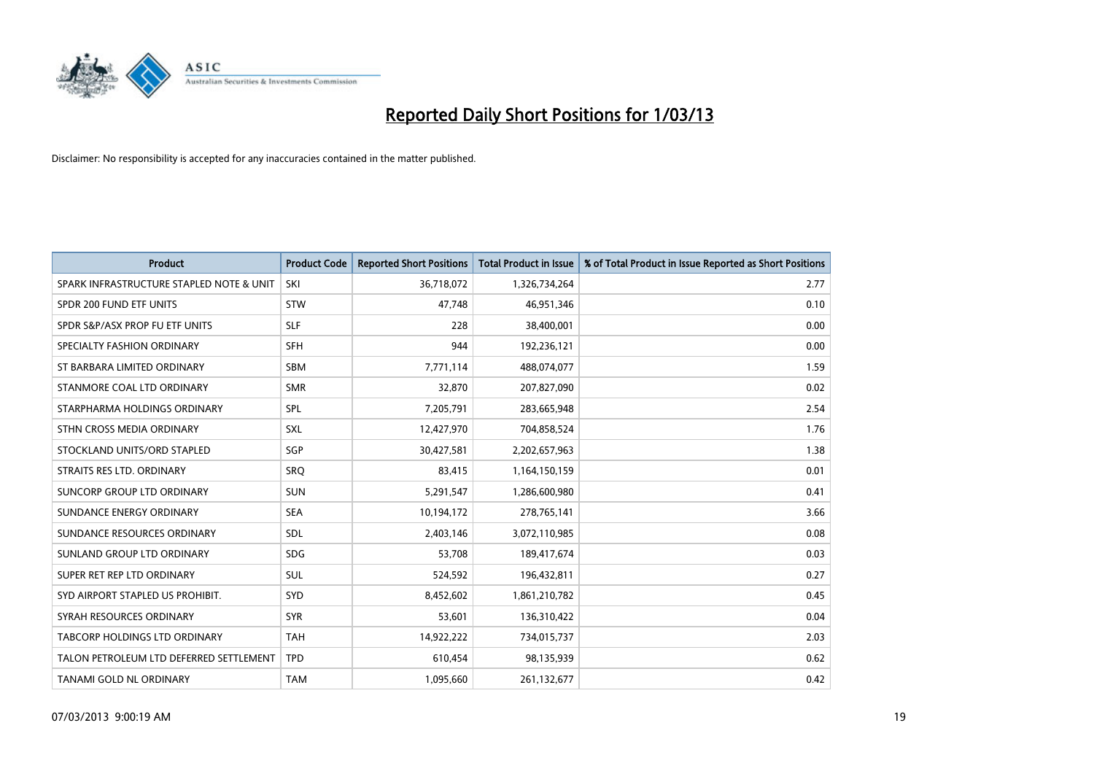

| <b>Product</b>                           | <b>Product Code</b> | <b>Reported Short Positions</b> | <b>Total Product in Issue</b> | % of Total Product in Issue Reported as Short Positions |
|------------------------------------------|---------------------|---------------------------------|-------------------------------|---------------------------------------------------------|
| SPARK INFRASTRUCTURE STAPLED NOTE & UNIT | SKI                 | 36,718,072                      | 1,326,734,264                 | 2.77                                                    |
| SPDR 200 FUND ETF UNITS                  | <b>STW</b>          | 47,748                          | 46,951,346                    | 0.10                                                    |
| SPDR S&P/ASX PROP FU ETF UNITS           | <b>SLF</b>          | 228                             | 38,400,001                    | 0.00                                                    |
| SPECIALTY FASHION ORDINARY               | <b>SFH</b>          | 944                             | 192,236,121                   | 0.00                                                    |
| ST BARBARA LIMITED ORDINARY              | <b>SBM</b>          | 7,771,114                       | 488,074,077                   | 1.59                                                    |
| STANMORE COAL LTD ORDINARY               | <b>SMR</b>          | 32,870                          | 207,827,090                   | 0.02                                                    |
| STARPHARMA HOLDINGS ORDINARY             | SPL                 | 7,205,791                       | 283,665,948                   | 2.54                                                    |
| STHN CROSS MEDIA ORDINARY                | <b>SXL</b>          | 12,427,970                      | 704,858,524                   | 1.76                                                    |
| STOCKLAND UNITS/ORD STAPLED              | SGP                 | 30,427,581                      | 2,202,657,963                 | 1.38                                                    |
| STRAITS RES LTD. ORDINARY                | SRQ                 | 83,415                          | 1,164,150,159                 | 0.01                                                    |
| SUNCORP GROUP LTD ORDINARY               | <b>SUN</b>          | 5,291,547                       | 1,286,600,980                 | 0.41                                                    |
| SUNDANCE ENERGY ORDINARY                 | <b>SEA</b>          | 10,194,172                      | 278,765,141                   | 3.66                                                    |
| SUNDANCE RESOURCES ORDINARY              | SDL                 | 2,403,146                       | 3,072,110,985                 | 0.08                                                    |
| SUNLAND GROUP LTD ORDINARY               | <b>SDG</b>          | 53,708                          | 189,417,674                   | 0.03                                                    |
| SUPER RET REP LTD ORDINARY               | SUL                 | 524,592                         | 196,432,811                   | 0.27                                                    |
| SYD AIRPORT STAPLED US PROHIBIT.         | SYD                 | 8,452,602                       | 1,861,210,782                 | 0.45                                                    |
| SYRAH RESOURCES ORDINARY                 | <b>SYR</b>          | 53,601                          | 136,310,422                   | 0.04                                                    |
| TABCORP HOLDINGS LTD ORDINARY            | <b>TAH</b>          | 14,922,222                      | 734,015,737                   | 2.03                                                    |
| TALON PETROLEUM LTD DEFERRED SETTLEMENT  | <b>TPD</b>          | 610,454                         | 98,135,939                    | 0.62                                                    |
| TANAMI GOLD NL ORDINARY                  | <b>TAM</b>          | 1,095,660                       | 261,132,677                   | 0.42                                                    |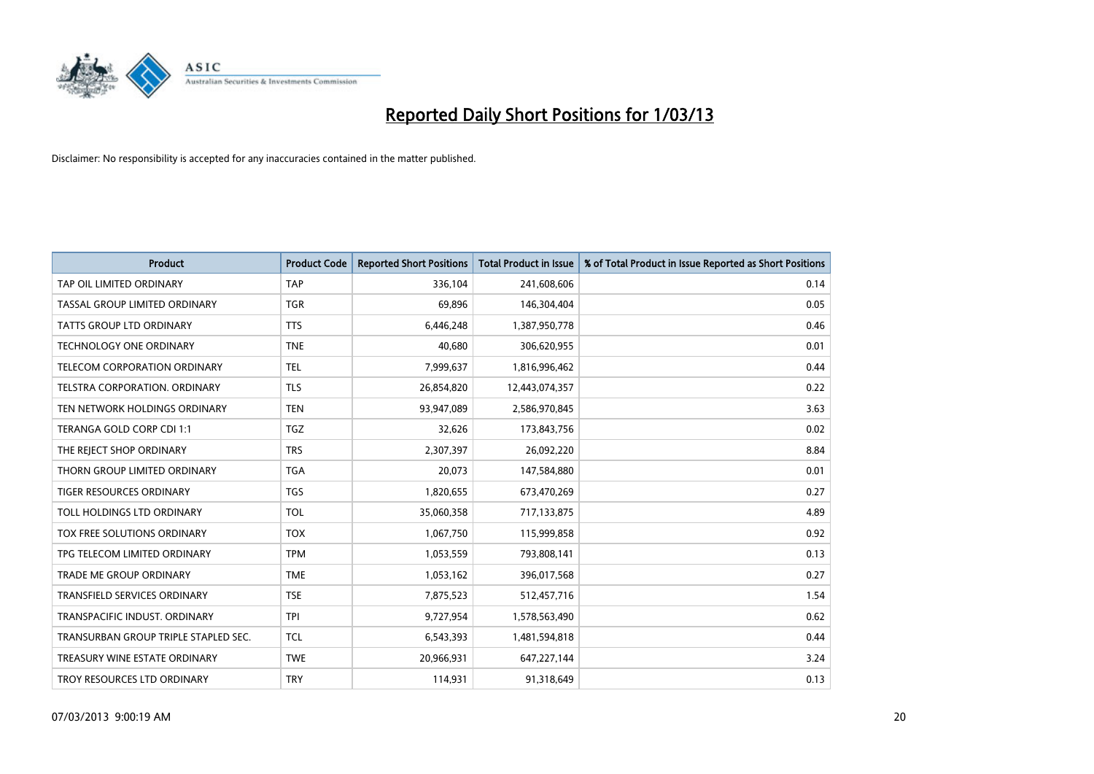

| <b>Product</b>                       | <b>Product Code</b> | <b>Reported Short Positions</b> | <b>Total Product in Issue</b> | % of Total Product in Issue Reported as Short Positions |
|--------------------------------------|---------------------|---------------------------------|-------------------------------|---------------------------------------------------------|
| TAP OIL LIMITED ORDINARY             | <b>TAP</b>          | 336,104                         | 241,608,606                   | 0.14                                                    |
| TASSAL GROUP LIMITED ORDINARY        | <b>TGR</b>          | 69,896                          | 146,304,404                   | 0.05                                                    |
| <b>TATTS GROUP LTD ORDINARY</b>      | <b>TTS</b>          | 6,446,248                       | 1,387,950,778                 | 0.46                                                    |
| TECHNOLOGY ONE ORDINARY              | <b>TNE</b>          | 40,680                          | 306,620,955                   | 0.01                                                    |
| <b>TELECOM CORPORATION ORDINARY</b>  | <b>TEL</b>          | 7,999,637                       | 1,816,996,462                 | 0.44                                                    |
| TELSTRA CORPORATION, ORDINARY        | <b>TLS</b>          | 26,854,820                      | 12,443,074,357                | 0.22                                                    |
| TEN NETWORK HOLDINGS ORDINARY        | <b>TEN</b>          | 93,947,089                      | 2,586,970,845                 | 3.63                                                    |
| TERANGA GOLD CORP CDI 1:1            | <b>TGZ</b>          | 32,626                          | 173,843,756                   | 0.02                                                    |
| THE REJECT SHOP ORDINARY             | <b>TRS</b>          | 2,307,397                       | 26,092,220                    | 8.84                                                    |
| THORN GROUP LIMITED ORDINARY         | <b>TGA</b>          | 20,073                          | 147,584,880                   | 0.01                                                    |
| TIGER RESOURCES ORDINARY             | <b>TGS</b>          | 1,820,655                       | 673,470,269                   | 0.27                                                    |
| TOLL HOLDINGS LTD ORDINARY           | <b>TOL</b>          | 35,060,358                      | 717,133,875                   | 4.89                                                    |
| TOX FREE SOLUTIONS ORDINARY          | <b>TOX</b>          | 1,067,750                       | 115,999,858                   | 0.92                                                    |
| TPG TELECOM LIMITED ORDINARY         | <b>TPM</b>          | 1,053,559                       | 793,808,141                   | 0.13                                                    |
| <b>TRADE ME GROUP ORDINARY</b>       | <b>TME</b>          | 1,053,162                       | 396,017,568                   | 0.27                                                    |
| TRANSFIELD SERVICES ORDINARY         | <b>TSE</b>          | 7,875,523                       | 512,457,716                   | 1.54                                                    |
| TRANSPACIFIC INDUST, ORDINARY        | <b>TPI</b>          | 9,727,954                       | 1,578,563,490                 | 0.62                                                    |
| TRANSURBAN GROUP TRIPLE STAPLED SEC. | <b>TCL</b>          | 6,543,393                       | 1,481,594,818                 | 0.44                                                    |
| TREASURY WINE ESTATE ORDINARY        | <b>TWE</b>          | 20,966,931                      | 647,227,144                   | 3.24                                                    |
| TROY RESOURCES LTD ORDINARY          | <b>TRY</b>          | 114,931                         | 91,318,649                    | 0.13                                                    |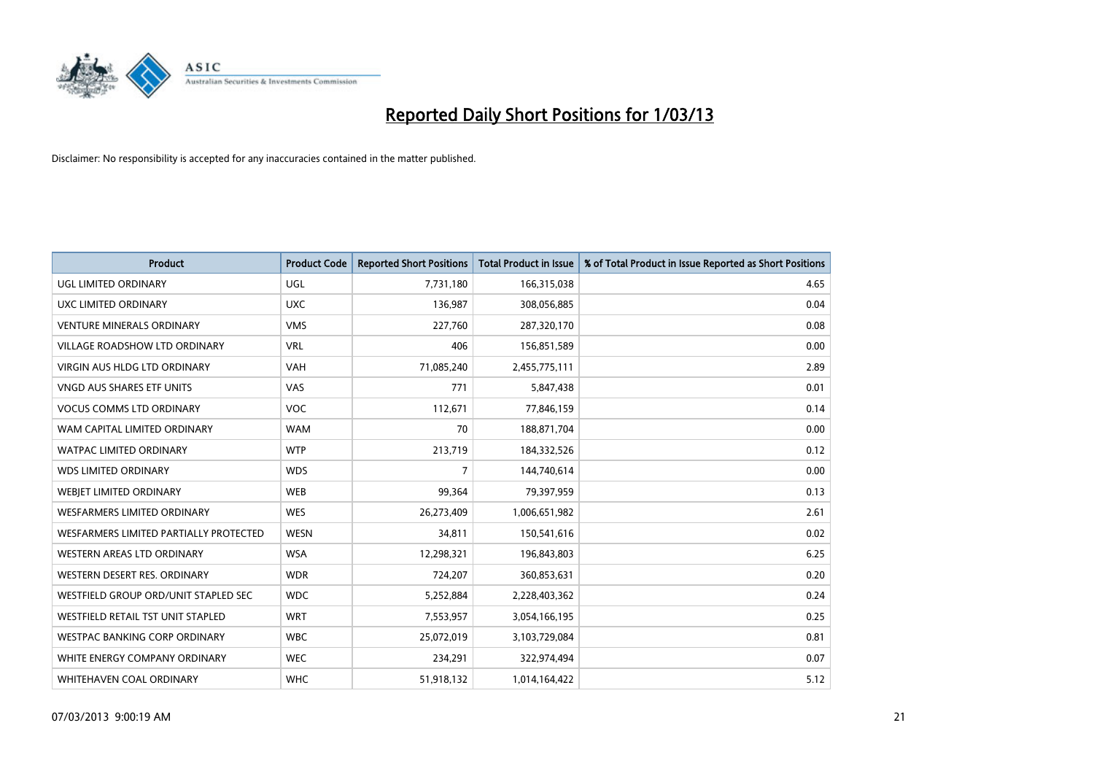

| <b>Product</b>                         | <b>Product Code</b> | <b>Reported Short Positions</b> | <b>Total Product in Issue</b> | % of Total Product in Issue Reported as Short Positions |
|----------------------------------------|---------------------|---------------------------------|-------------------------------|---------------------------------------------------------|
| <b>UGL LIMITED ORDINARY</b>            | <b>UGL</b>          | 7,731,180                       | 166,315,038                   | 4.65                                                    |
| UXC LIMITED ORDINARY                   | <b>UXC</b>          | 136,987                         | 308,056,885                   | 0.04                                                    |
| <b>VENTURE MINERALS ORDINARY</b>       | <b>VMS</b>          | 227,760                         | 287,320,170                   | 0.08                                                    |
| VILLAGE ROADSHOW LTD ORDINARY          | <b>VRL</b>          | 406                             | 156,851,589                   | 0.00                                                    |
| <b>VIRGIN AUS HLDG LTD ORDINARY</b>    | <b>VAH</b>          | 71,085,240                      | 2,455,775,111                 | 2.89                                                    |
| <b>VNGD AUS SHARES ETF UNITS</b>       | <b>VAS</b>          | 771                             | 5,847,438                     | 0.01                                                    |
| <b>VOCUS COMMS LTD ORDINARY</b>        | <b>VOC</b>          | 112,671                         | 77,846,159                    | 0.14                                                    |
| WAM CAPITAL LIMITED ORDINARY           | <b>WAM</b>          | 70                              | 188,871,704                   | 0.00                                                    |
| <b>WATPAC LIMITED ORDINARY</b>         | <b>WTP</b>          | 213,719                         | 184,332,526                   | 0.12                                                    |
| <b>WDS LIMITED ORDINARY</b>            | <b>WDS</b>          | 7                               | 144,740,614                   | 0.00                                                    |
| WEBIET LIMITED ORDINARY                | <b>WEB</b>          | 99,364                          | 79,397,959                    | 0.13                                                    |
| <b>WESFARMERS LIMITED ORDINARY</b>     | <b>WES</b>          | 26,273,409                      | 1,006,651,982                 | 2.61                                                    |
| WESFARMERS LIMITED PARTIALLY PROTECTED | <b>WESN</b>         | 34,811                          | 150,541,616                   | 0.02                                                    |
| WESTERN AREAS LTD ORDINARY             | <b>WSA</b>          | 12,298,321                      | 196,843,803                   | 6.25                                                    |
| WESTERN DESERT RES. ORDINARY           | <b>WDR</b>          | 724,207                         | 360,853,631                   | 0.20                                                    |
| WESTFIELD GROUP ORD/UNIT STAPLED SEC   | <b>WDC</b>          | 5,252,884                       | 2,228,403,362                 | 0.24                                                    |
| WESTFIELD RETAIL TST UNIT STAPLED      | <b>WRT</b>          | 7,553,957                       | 3,054,166,195                 | 0.25                                                    |
| WESTPAC BANKING CORP ORDINARY          | <b>WBC</b>          | 25,072,019                      | 3,103,729,084                 | 0.81                                                    |
| WHITE ENERGY COMPANY ORDINARY          | <b>WEC</b>          | 234,291                         | 322,974,494                   | 0.07                                                    |
| WHITEHAVEN COAL ORDINARY               | <b>WHC</b>          | 51,918,132                      | 1,014,164,422                 | 5.12                                                    |